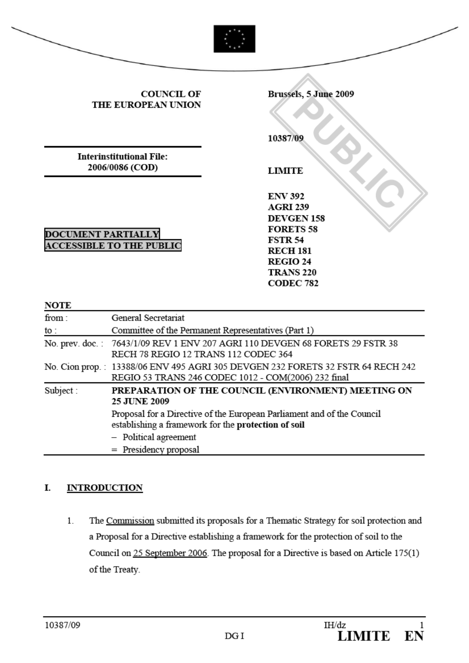| <b>COUNCIL OF</b><br>THE EUROPEAN UNION            |                                                                                                                                        | Brussels, 5 June 2009<br>10387/09                                                                                                                                          |
|----------------------------------------------------|----------------------------------------------------------------------------------------------------------------------------------------|----------------------------------------------------------------------------------------------------------------------------------------------------------------------------|
| <b>Interinstitutional File:</b><br>2006/0086 (COD) |                                                                                                                                        | <b>LIMITE</b>                                                                                                                                                              |
| <b>NOTE</b>                                        | <b>DOCUMENT PARTIALLY</b><br><b>ACCESSIBLE TO THE PUBLIC</b>                                                                           | <b>ENV 392</b><br><b>AGRI 239</b><br><b>DEVGEN 158</b><br><b>FORETS 58</b><br><b>FSTR 54</b><br><b>RECH 181</b><br><b>REGIO 24</b><br><b>TRANS 220</b><br><b>CODEC 782</b> |
| from:                                              | General Secretariat                                                                                                                    |                                                                                                                                                                            |
| to :                                               | Committee of the Permanent Representatives (Part 1)                                                                                    |                                                                                                                                                                            |
|                                                    | No. prev. doc.: 7643/1/09 REV 1 ENV 207 AGRI 110 DEVGEN 68 FORETS 29 FSTR 38<br>RECH 78 REGIO 12 TRANS 112 CODEC 364                   |                                                                                                                                                                            |
|                                                    | No. Cion prop.: 13388/06 ENV 495 AGRI 305 DEVGEN 232 FORETS 32 FSTR 64 RECH 242<br>REGIO 53 TRANS 246 CODEC 1012 - COM(2006) 232 final |                                                                                                                                                                            |
| Subject:                                           | 25 JUNE 2009                                                                                                                           | PREPARATION OF THE COUNCIL (ENVIRONMENT) MEETING ON                                                                                                                        |

### I. INTRODUCTION

1. The Commission submitted its proposals for a Thematic Strategy for soil protection and a Proposal for a Directive establishing a framework for the protection of soil to the Council on 25 September 2006. The proposal for a Directive is based on Article 175(1) of the Treaty.

Proposal for a Directive of the European Parliament and of the Council

establishing a framework for the protection of soil

- Political agreement Presidency proposal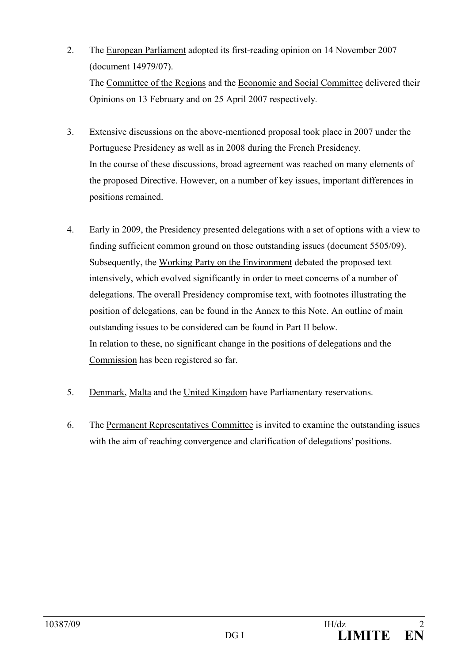- 2. The European Parliament adopted its first-reading opinion on 14 November 2007 (document 14979/07). The Committee of the Regions and the Economic and Social Committee delivered their Opinions on 13 February and on 25 April 2007 respectively*.*
- 3. Extensive discussions on the above-mentioned proposal took place in 2007 under the Portuguese Presidency as well as in 2008 during the French Presidency. In the course of these discussions, broad agreement was reached on many elements of the proposed Directive. However, on a number of key issues, important differences in positions remained.
- 4. Early in 2009, the Presidency presented delegations with a set of options with a view to finding sufficient common ground on those outstanding issues (document 5505/09). Subsequently, the Working Party on the Environment debated the proposed text intensively, which evolved significantly in order to meet concerns of a number of delegations. The overall **Presidency** compromise text, with footnotes illustrating the position of delegations, can be found in the Annex to this Note. An outline of main outstanding issues to be considered can be found in Part II below. In relation to these, no significant change in the positions of delegations and the Commission has been registered so far.
- 5. Denmark, Malta and the United Kingdom have Parliamentary reservations.
- 6. The Permanent Representatives Committee is invited to examine the outstanding issues with the aim of reaching convergence and clarification of delegations' positions.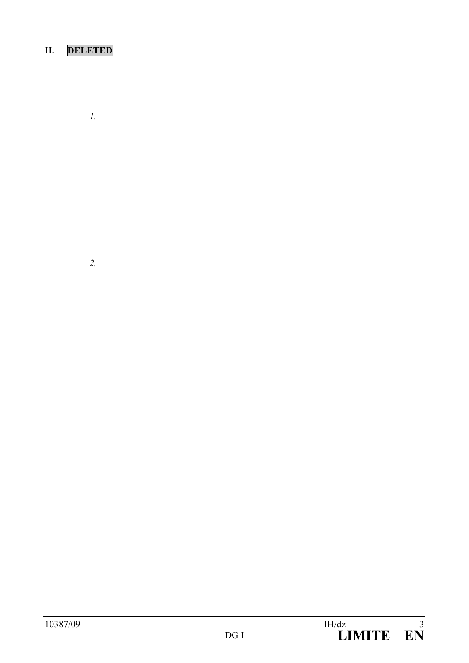# **II. DELETED**

*1.*

*2.*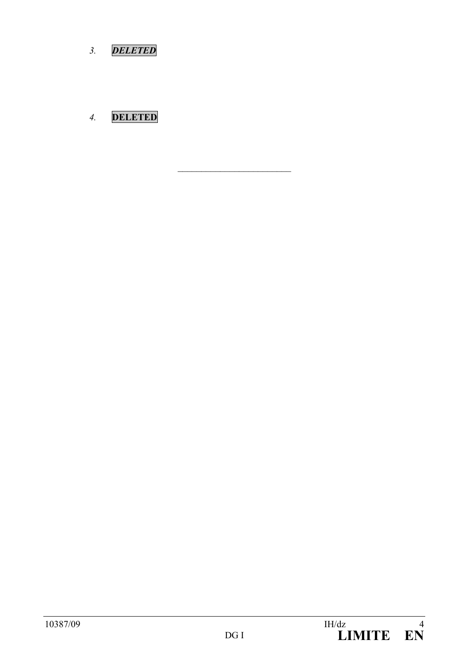*3. DELETED*

# *4.* **DELETED**

 $\overline{\phantom{a}}$  , which is a set of the set of the set of the set of the set of the set of the set of the set of the set of the set of the set of the set of the set of the set of the set of the set of the set of the set of th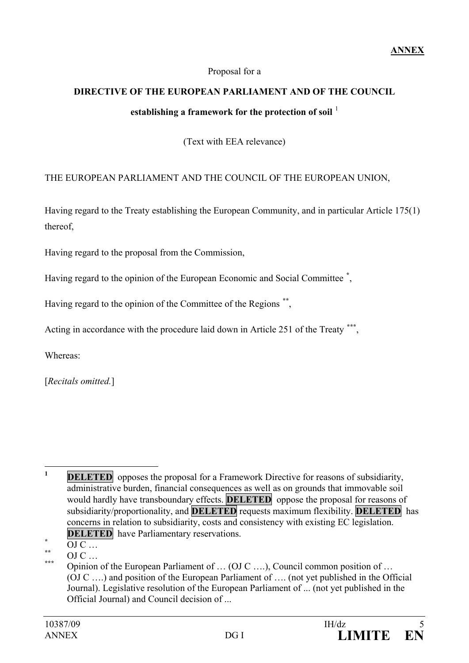### Proposal for a

# **DIRECTIVE OF THE EUROPEAN PARLIAMENT AND OF THE COUNCIL** establishing a framework for the protection of soil <sup>[1](#page-4-0)</sup>

(Text with EEA relevance)

### THE EUROPEAN PARLIAMENT AND THE COUNCIL OF THE EUROPEAN UNION,

Having regard to the Treaty establishing the European Community, and in particular Article 175(1) thereof,

Having regard to the proposal from the Commission,

Having regard to the opinion of the European Economic and Social Committee **[\\*](#page-4-1)** ,

Having regard to the opinion of the Committee of the Regions **[\\*\\*](#page-4-2)**,

Acting in accordance with the procedure laid down in Article 251 of the Treaty **[\\*\\*\\*](#page-4-3)**,

Whereas:

[*Recitals omitted.*]

<span id="page-4-0"></span><sup>&</sup>lt;sup>1</sup> **DELETED** opposes the proposal for a Framework Directive for reasons of subsidiarity, administrative burden, financial consequences as well as on grounds that immovable soil would hardly have transboundary effects. **DELETED** oppose the proposal for reasons of subsidiarity/proportionality, and **DELETED** requests maximum flexibility. **DELETED** has concerns in relation to subsidiarity, costs and consistency with existing EC legislation.

<span id="page-4-1"></span>

<span id="page-4-3"></span><span id="page-4-2"></span>

**DELETED** have Parliamentary reservations.<br>
<sup>\*\*</sup> OJ C …<br> **OD C …** Opinion of the European Parliament of … (OJ C ….), Council common position of … (OJ C ….) and position of the European Parliament of …. (not yet published in the Official Journal). Legislative resolution of the European Parliament of ... (not yet published in the Official Journal) and Council decision of ...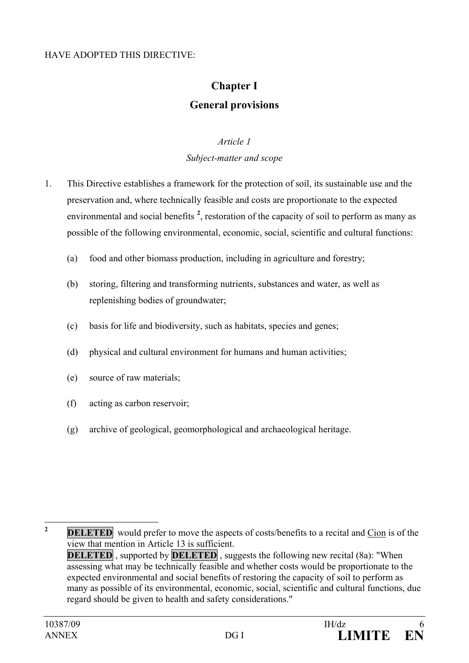### HAVE ADOPTED THIS DIRECTIVE:

# **Chapter I General provisions**

#### *Article 1*

### *Subject-matter and scope*

- 1. This Directive establishes a framework for the protection of soil, its sustainable use and the preservation and, where technically feasible and costs are proportionate to the expected environmental and social benefits <sup>[2](#page-5-0)</sup>, restoration of the capacity of soil to perform as many as possible of the following environmental, economic, social, scientific and cultural functions:
	- (a) food and other biomass production, including in agriculture and forestry;
	- (b) storing, filtering and transforming nutrients, substances and water, as well as replenishing bodies of groundwater;
	- (c) basis for life and biodiversity, such as habitats, species and genes;
	- (d) physical and cultural environment for humans and human activities;
	- (e) source of raw materials;
	- (f) acting as carbon reservoir;
	- (g) archive of geological, geomorphological and archaeological heritage.

<span id="page-5-0"></span><sup>2</sup> **DELETED** would prefer to move the aspects of costs/benefits to a recital and Cion is of the view that mention in Article 13 is sufficient. **DELETED**, supported by **DELETED**, suggests the following new recital (8a): "When assessing what may be technically feasible and whether costs would be proportionate to the expected environmental and social benefits of restoring the capacity of soil to perform as many as possible of its environmental, economic, social, scientific and cultural functions, due regard should be given to health and safety considerations."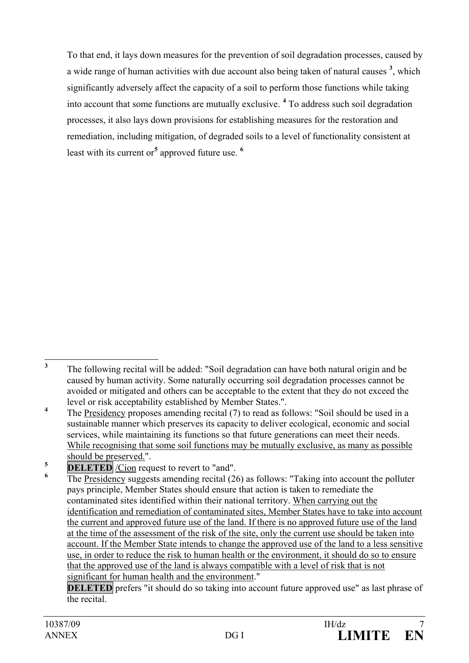To that end, it lays down measures for the prevention of soil degradation processes, caused by a wide range of human activities with due account also being taken of natural causes **[3](#page-6-0)** , which significantly adversely affect the capacity of a soil to perform those functions while taking into account that some functions are mutually exclusive. **[4](#page-6-1)** To address such soil degradation processes, it also lays down provisions for establishing measures for the restoration and remediation, including mitigation, of degraded soils to a level of functionality consistent at least with its current or**[5](#page-6-2)** approved future use. **[6](#page-6-3)**

**DELETED** prefers "it should do so taking into account future approved use" as last phrase of the recital.

<span id="page-6-0"></span>**<sup>3</sup>** The following recital will be added: "Soil degradation can have both natural origin and be caused by human activity. Some naturally occurring soil degradation processes cannot be avoided or mitigated and others can be acceptable to the extent that they do not exceed the level or risk acceptability established by Member States.".

<span id="page-6-1"></span><sup>&</sup>lt;sup>4</sup> The Presidency proposes amending recital (7) to read as follows: "Soil should be used in a sustainable manner which preserves its capacity to deliver ecological, economic and social services, while maintaining its functions so that future generations can meet their needs. While recognising that some soil functions may be mutually exclusive, as many as possible should be preserved.".

<span id="page-6-2"></span> $\overline{\text{DELETED}}$  */Cion* request to revert to "and".

<span id="page-6-3"></span>**<sup>6</sup>** The Presidency suggests amending recital (26) as follows: "Taking into account the polluter pays principle, Member States should ensure that action is taken to remediate the contaminated sites identified within their national territory. When carrying out the identification and remediation of contaminated sites, Member States have to take into account the current and approved future use of the land. If there is no approved future use of the land at the time of the assessment of the risk of the site, only the current use should be taken into account. If the Member State intends to change the approved use of the land to a less sensitive use, in order to reduce the risk to human health or the environment, it should do so to ensure that the approved use of the land is always compatible with a level of risk that is not significant for human health and the environment."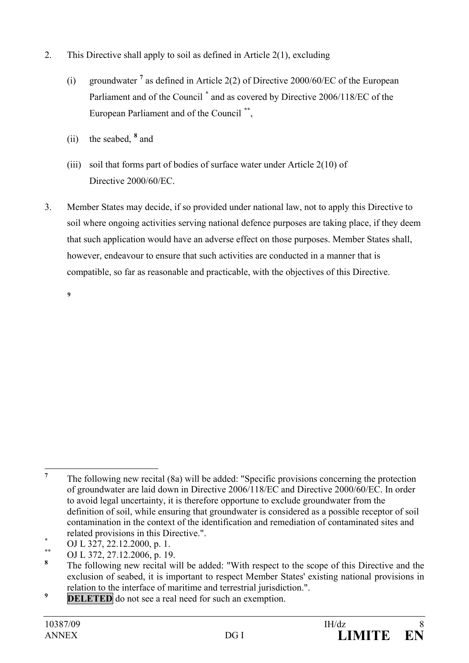- 2. This Directive shall apply to soil as defined in Article 2(1), excluding
	- (i) groundwater **[7](#page-7-0)** as defined in Article 2(2) of Directive 2000/60/EC of the European Parliament and of the Council **[\\*](#page-7-1)** and as covered by Directive 2006/118/EC of the European Parliament and of the Council **[\\*\\*](#page-7-2)**,
	- (ii) the seabed, **[8](#page-7-3)** and
	- (iii) soil that forms part of bodies of surface water under Article 2(10) of Directive 2000/60/EC.
- 3. Member States may decide, if so provided under national law, not to apply this Directive to soil where ongoing activities serving national defence purposes are taking place, if they deem that such application would have an adverse effect on those purposes. Member States shall, however, endeavour to ensure that such activities are conducted in a manner that is compatible, so far as reasonable and practicable, with the objectives of this Directive.

**[9](#page-7-4)**

<span id="page-7-4"></span>**<sup>9</sup> DELETED** do not see a real need for such an exemption.

<span id="page-7-0"></span>**<sup>7</sup>** The following new recital (8a) will be added: "Specific provisions concerning the protection of groundwater are laid down in Directive 2006/118/EC and Directive 2000/60/EC. In order to avoid legal uncertainty, it is therefore opportune to exclude groundwater from the definition of soil, while ensuring that groundwater is considered as a possible receptor of soil contamination in the context of the identification and remediation of contaminated sites and related provisions in this Directive.".<br>
<sup>\*\*</sup> OJ L 327, 22.12.2000, p. 1.<br> **8** The following proposalized will be ad-

<span id="page-7-1"></span>

<span id="page-7-2"></span>

<span id="page-7-3"></span>**<sup>8</sup>** The following new recital will be added: "With respect to the scope of this Directive and the exclusion of seabed, it is important to respect Member States' existing national provisions in relation to the interface of maritime and terrestrial jurisdiction.".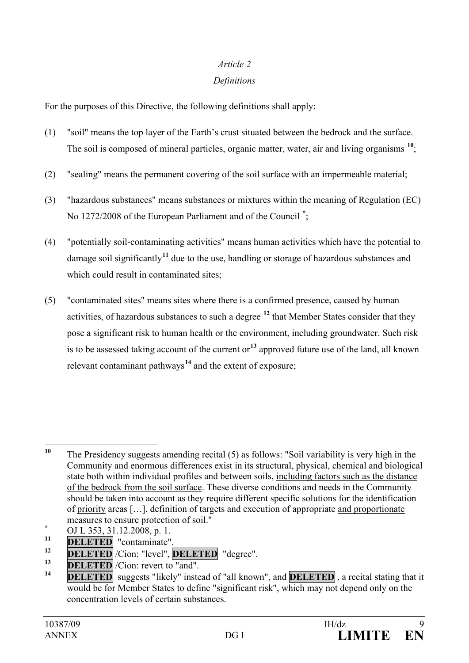### *Article 2*

### *Definitions*

For the purposes of this Directive, the following definitions shall apply:

- (1) "soil" means the top layer of the Earth's crust situated between the bedrock and the surface. The soil is composed of mineral particles, organic matter, water, air and living organisms **[10](#page-8-0)**;
- (2) "sealing" means the permanent covering of the soil surface with an impermeable material;
- (3) "hazardous substances" means substances or mixtures within the meaning of Regulation (EC) No 1272/2008 of the European Parliament and of the Council **[\\*](#page-8-1)** ;
- (4) "potentially soil-contaminating activities" means human activities which have the potential to damage soil significantly**[11](#page-8-2)** due to the use, handling or storage of hazardous substances and which could result in contaminated sites;
- (5) "contaminated sites" means sites where there is a confirmed presence, caused by human activities, of hazardous substances to such a degree **[12](#page-8-3)** that Member States consider that they pose a significant risk to human health or the environment, including groundwater. Such risk is to be assessed taking account of the current or**[13](#page-8-4)** approved future use of the land, all known relevant contaminant pathways**[14](#page-8-5)** and the extent of exposure;

<span id="page-8-0"></span>**<sup>10</sup>** The Presidency suggests amending recital (5) as follows: "Soil variability is very high in the Community and enormous differences exist in its structural, physical, chemical and biological state both within individual profiles and between soils, including factors such as the distance of the bedrock from the soil surface. These diverse conditions and needs in the Community should be taken into account as they require different specific solutions for the identification of priority areas […], definition of targets and execution of appropriate and proportionate measures to ensure protection of soil."<br>
<u><sup>\*</sup> OJ L 353, 31.12.2008</u>, p. 1.<br> **PEL ETER** "

<span id="page-8-1"></span>

<span id="page-8-2"></span> $\frac{11}{12}$  **DELETED** "contaminate".

<span id="page-8-3"></span><sup>12</sup> **DELETED** <u>/Cion</u>: "level", **DELETED** "degree".

<span id="page-8-4"></span> $\frac{13}{14}$  **DELETED** *C*ion: revert to "and".

<span id="page-8-5"></span>**DELETED** suggests "likely" instead of "all known", and **DELETED**, a recital stating that it would be for Member States to define "significant risk", which may not depend only on the concentration levels of certain substances.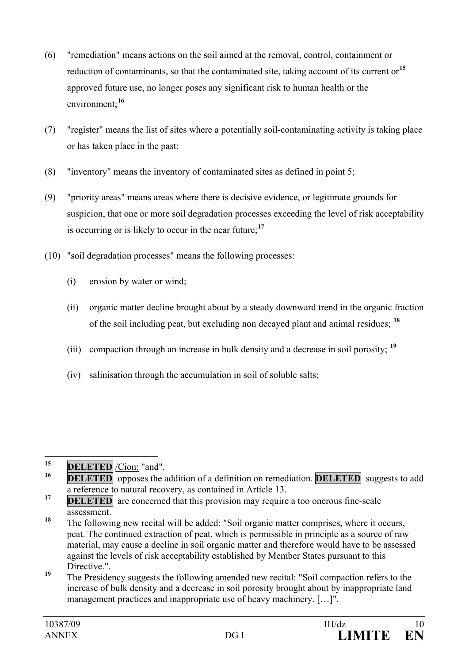- (6) "remediation" means actions on the soil aimed at the removal, control, containment or reduction of contaminants, so that the contaminated site, taking account of its current or**[15](#page-9-0)** approved future use, no longer poses any significant risk to human health or the environment;**[16](#page-9-1)**
- (7) "register" means the list of sites where a potentially soil-contaminating activity is taking place or has taken place in the past;
- (8) "inventory" means the inventory of contaminated sites as defined in point 5;
- (9) "priority areas" means areas where there is decisive evidence, or legitimate grounds for suspicion, that one or more soil degradation processes exceeding the level of risk acceptability is occurring or is likely to occur in the near future;**[17](#page-9-2)**
- (10) "soil degradation processes" means the following processes:
	- (i) erosion by water or wind;
	- (ii) organic matter decline brought about by a steady downward trend in the organic fraction of the soil including peat, but excluding non decayed plant and animal residues; **[18](#page-9-3)**
	- (iii) compaction through an increase in bulk density and a decrease in soil porosity; **[19](#page-9-4)**
	- (iv) salinisation through the accumulation in soil of soluble salts;

- <span id="page-9-3"></span>**<sup>18</sup>** The following new recital will be added: "Soil organic matter comprises, where it occurs, peat. The continued extraction of peat, which is permissible in principle as a source of raw material, may cause a decline in soil organic matter and therefore would have to be assessed against the levels of risk acceptability established by Member States pursuant to this Directive.".
- <span id="page-9-4"></span><sup>19</sup> The Presidency suggests the following amended new recital: "Soil compaction refers to the increase of bulk density and a decrease in soil porosity brought about by inappropriate land management practices and inappropriate use of heavy machinery. […]".

<span id="page-9-0"></span><sup>15</sup> **DELETED** <u>/Cion:</u> "and".

<span id="page-9-1"></span>**DELETED** opposes the addition of a definition on remediation. **DELETED** suggests to add a reference to natural recovery, as contained in Article 13.

<span id="page-9-2"></span>**<sup>17</sup> DELETED** are concerned that this provision may require a too onerous fine-scale assessment.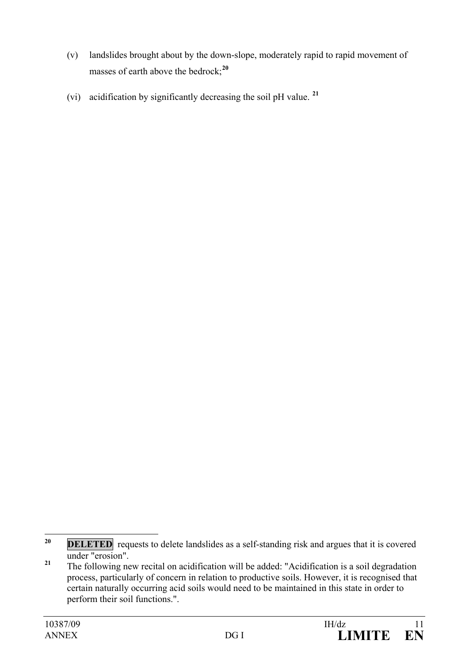- (v) landslides brought about by the down-slope, moderately rapid to rapid movement of masses of earth above the bedrock;**[20](#page-10-0)**
- (vi) acidification by significantly decreasing the soil pH value. **[21](#page-10-1)**

<span id="page-10-0"></span><sup>&</sup>lt;sup>20</sup> **DELETED** requests to delete landslides as a self-standing risk and argues that it is covered under "erosion".

<span id="page-10-1"></span><sup>&</sup>lt;sup>21</sup> The following new recital on acidification will be added: "Acidification is a soil degradation process, particularly of concern in relation to productive soils. However, it is recognised that certain naturally occurring acid soils would need to be maintained in this state in order to perform their soil functions.".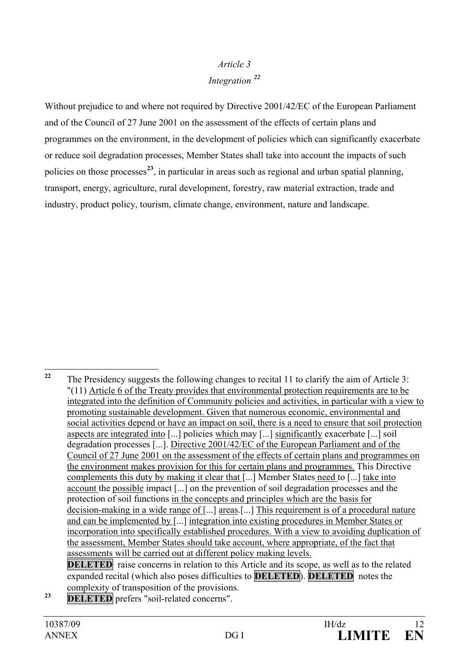## *Article 3 Integration [22](#page-11-0)*

Without prejudice to and where not required by Directive 2001/42/EC of the European Parliament and of the Council of 27 June 2001 on the assessment of the effects of certain plans and programmes on the environment, in the development of policies which can significantly exacerbate or reduce soil degradation processes, Member States shall take into account the impacts of such policies on those processes**[23](#page-11-1)**, in particular in areas such as regional and urban spatial planning, transport, energy, agriculture, rural development, forestry, raw material extraction, trade and industry, product policy, tourism, climate change, environment, nature and landscape.

<span id="page-11-1"></span>**<sup>23</sup> DELETED** prefers "soil-related concerns".

<span id="page-11-0"></span><sup>&</sup>lt;sup>22</sup> The Presidency suggests the following changes to recital 11 to clarify the aim of Article 3: "(11) Article 6 of the Treaty provides that environmental protection requirements are to be integrated into the definition of Community policies and activities, in particular with a view to promoting sustainable development. Given that numerous economic, environmental and social activities depend or have an impact on soil, there is a need to ensure that soil protection aspects are integrated into [...] policies which may [...] significantly exacerbate [...] soil degradation processes [...]. Directive 2001/42/EC of the European Parliament and of the Council of 27 June 2001 on the assessment of the effects of certain plans and programmes on the environment makes provision for this for certain plans and programmes. This Directive complements this duty by making it clear that [...] Member States need to [...] take into account the possible impact [...] on the prevention of soil degradation processes and the protection of soil functions in the concepts and principles which are the basis for decision-making in a wide range of [...] areas.[...] This requirement is of a procedural nature and can be implemented by [...] integration into existing procedures in Member States or incorporation into specifically established procedures. With a view to avoiding duplication of the assessment, Member States should take account, where appropriate, of the fact that assessments will be carried out at different policy making levels. **DELETED** raise concerns in relation to this Article and its scope, as well as to the related

expanded recital (which also poses difficulties to **DELETED**). **DELETED** notes the complexity of transposition of the provisions.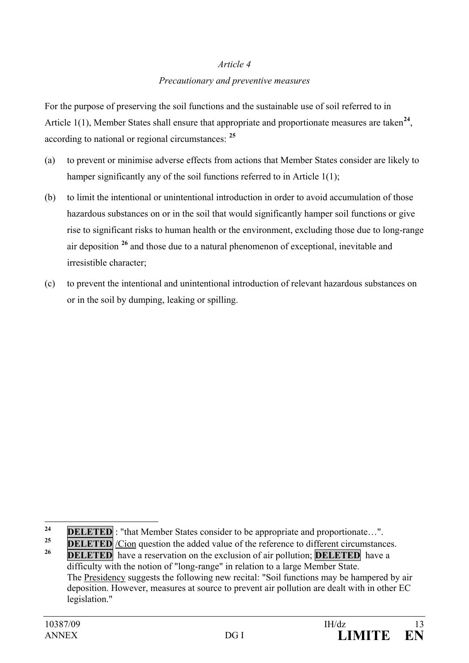### *Article 4*

#### *Precautionary and preventive measures*

For the purpose of preserving the soil functions and the sustainable use of soil referred to in Article 1(1), Member States shall ensure that appropriate and proportionate measures are taken<sup>[24](#page-12-0)</sup>, according to national or regional circumstances: **[25](#page-12-1)**

- (a) to prevent or minimise adverse effects from actions that Member States consider are likely to hamper significantly any of the soil functions referred to in Article 1(1);
- (b) to limit the intentional or unintentional introduction in order to avoid accumulation of those hazardous substances on or in the soil that would significantly hamper soil functions or give rise to significant risks to human health or the environment, excluding those due to long-range air deposition **[26](#page-12-2)** and those due to a natural phenomenon of exceptional, inevitable and irresistible character;
- (c) to prevent the intentional and unintentional introduction of relevant hazardous substances on or in the soil by dumping, leaking or spilling.

<span id="page-12-0"></span>**<sup>24</sup> DELETED** : "that Member States consider to be appropriate and proportionate...".

<span id="page-12-1"></span>**<sup>25</sup> DELETED** */Cion* question the added value of the reference to different circumstances.

<span id="page-12-2"></span>**DELETED** have a reservation on the exclusion of air pollution; **DELETED** have a difficulty with the notion of "long-range" in relation to a large Member State. The Presidency suggests the following new recital: "Soil functions may be hampered by air deposition. However, measures at source to prevent air pollution are dealt with in other EC legislation."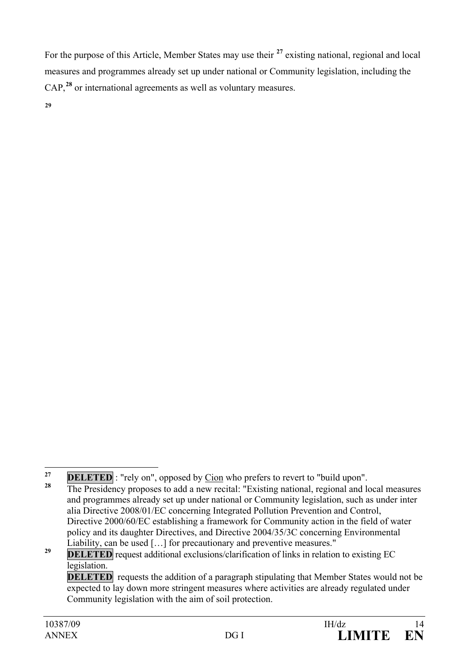For the purpose of this Article, Member States may use their **[27](#page-13-0)** existing national, regional and local measures and programmes already set up under national or Community legislation, including the CAP,**[28](#page-13-1)** or international agreements as well as voluntary measures.

**[29](#page-13-2)**

<span id="page-13-1"></span><span id="page-13-0"></span><sup>&</sup>lt;sup>27</sup> **DELETED** : "rely on", opposed by <u>Cion</u> who prefers to revert to "build upon".<br><sup>28</sup> The Presidency proposes to add a new recital: "Existing national, regional and local measures and programmes already set up under national or Community legislation, such as under inter alia Directive 2008/01/EC concerning Integrated Pollution Prevention and Control, Directive 2000/60/EC establishing a framework for Community action in the field of water policy and its daughter Directives, and Directive 2004/35/3C concerning Environmental Liability, can be used […] for precautionary and preventive measures."

<span id="page-13-2"></span><sup>&</sup>lt;sup>29</sup> **DELETED** request additional exclusions/clarification of links in relation to existing EC legislation.

**DELETED** requests the addition of a paragraph stipulating that Member States would not be expected to lay down more stringent measures where activities are already regulated under Community legislation with the aim of soil protection.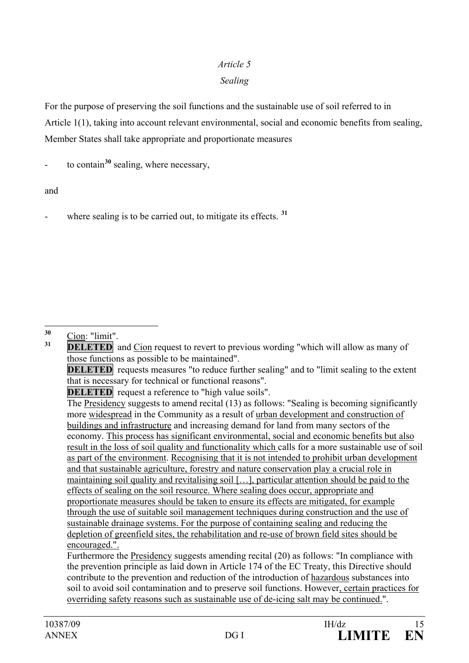### *Article 5*

### *Sealing*

For the purpose of preserving the soil functions and the sustainable use of soil referred to in Article 1(1), taking into account relevant environmental, social and economic benefits from sealing, Member States shall take appropriate and proportionate measures

to contain<sup>[30](#page-14-0)</sup> sealing, where necessary,

and

where sealing is to be carried out, to mitigate its effects.  $31$ 

<span id="page-14-0"></span><sup>30</sup> Cion: "limit".<br><sup>31</sup> **DELETED** and Cion request to revert to previous wording "which will allow as many of those functions as possible to be maintained".

**DELETED** requests measures "to reduce further sealing" and to "limit sealing to the extent that is necessary for technical or functional reasons".

**DELETED** request a reference to "high value soils".

The Presidency suggests to amend recital (13) as follows: "Sealing is becoming significantly more widespread in the Community as a result of urban development and construction of buildings and infrastructure and increasing demand for land from many sectors of the economy. This process has significant environmental, social and economic benefits but also result in the loss of soil quality and functionality which calls for a more sustainable use of soil as part of the environment. Recognising that it is not intended to prohibit urban development and that sustainable agriculture, forestry and nature conservation play a crucial role in maintaining soil quality and revitalising soil […], particular attention should be paid to the effects of sealing on the soil resource. Where sealing does occur, appropriate and proportionate measures should be taken to ensure its effects are mitigated, for example through the use of suitable soil management techniques during construction and the use of sustainable drainage systems. For the purpose of containing sealing and reducing the depletion of greenfield sites, the rehabilitation and re-use of brown field sites should be encouraged.".

Furthermore the Presidency suggests amending recital (20) as follows: "In compliance with the prevention principle as laid down in Article 174 of the EC Treaty, this Directive should contribute to the prevention and reduction of the introduction of hazardous substances into soil to avoid soil contamination and to preserve soil functions. However, certain practices for overriding safety reasons such as sustainable use of de-icing salt may be continued.".

<span id="page-14-1"></span>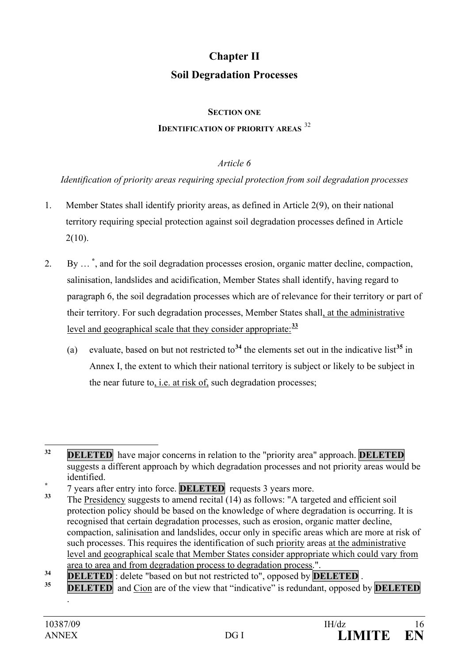# **Chapter II Soil Degradation Processes**

#### **SECTION ONE**

### **IDENTIFICATION OF PRIORITY AREAS** <sup>[32](#page-15-0)</sup>

### *Article 6*

*Identification of priority areas requiring special protection from soil degradation processes*

- 1. Member States shall identify priority areas, as defined in Article 2(9), on their national territory requiring special protection against soil degradation processes defined in Article  $2(10)$ .
- 2. By … **[\\*](#page-15-1)** , and for the soil degradation processes erosion, organic matter decline, compaction, salinisation, landslides and acidification, Member States shall identify, having regard to paragraph 6, the soil degradation processes which are of relevance for their territory or part of their territory. For such degradation processes, Member States shall, at the administrative level and geographical scale that they consider appropriate:**[33](#page-15-2)**
	- (a) evaluate, based on but not restricted to<sup>[34](#page-15-3)</sup> the elements set out in the indicative list<sup>[35](#page-15-4)</sup> in Annex I, the extent to which their national territory is subject or likely to be subject in the near future to, i.e. at risk of, such degradation processes;

.

<span id="page-15-0"></span>**<sup>32</sup> DELETED** have major concerns in relation to the "priority area" approach. **DELETED** suggests a different approach by which degradation processes and not priority areas would be

<span id="page-15-1"></span>identified.<br>
<sup>\*</sup> 7 years after entry into force. **DELETED** requests 3 years more.

<span id="page-15-2"></span>**<sup>33</sup>** The Presidency suggests to amend recital (14) as follows: "A targeted and efficient soil protection policy should be based on the knowledge of where degradation is occurring. It is recognised that certain degradation processes, such as erosion, organic matter decline, compaction, salinisation and landslides, occur only in specific areas which are more at risk of such processes. This requires the identification of such priority areas at the administrative level and geographical scale that Member States consider appropriate which could vary from area to area and from degradation process to degradation process.".

<span id="page-15-3"></span>**<sup>34</sup> DELETED** : delete "based on but not restricted to", opposed by **DELETED** 

<span id="page-15-4"></span>**<sup>&</sup>lt;u>DELETED</u>** and Cion are of the view that "indicative" is redundant, opposed by **DELETED**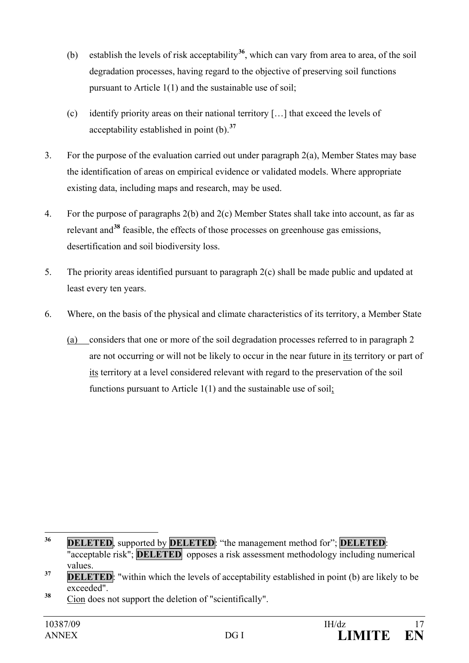- (b) establish the levels of risk acceptability**[36](#page-16-0)**, which can vary from area to area, of the soil degradation processes, having regard to the objective of preserving soil functions pursuant to Article 1(1) and the sustainable use of soil;
- (c) identify priority areas on their national territory […] that exceed the levels of acceptability established in point (b).**[37](#page-16-1)**
- 3. For the purpose of the evaluation carried out under paragraph 2(a), Member States may base the identification of areas on empirical evidence or validated models. Where appropriate existing data, including maps and research, may be used.
- 4. For the purpose of paragraphs 2(b) and 2(c) Member States shall take into account, as far as relevant and**[38](#page-16-2)** feasible, the effects of those processes on greenhouse gas emissions, desertification and soil biodiversity loss.
- 5. The priority areas identified pursuant to paragraph 2(c) shall be made public and updated at least every ten years.
- 6. Where, on the basis of the physical and climate characteristics of its territory, a Member State
	- (a) considers that one or more of the soil degradation processes referred to in paragraph 2 are not occurring or will not be likely to occur in the near future in its territory or part of its territory at a level considered relevant with regard to the preservation of the soil functions pursuant to Article 1(1) and the sustainable use of soil;

<span id="page-16-2"></span>**<sup>38</sup>** Cion does not support the deletion of "scientifically".

<span id="page-16-0"></span>**<sup>36</sup> DELETED**, supported by **DELETED**: "the management method for"; **DELETED**: "acceptable risk"; **DELETED** opposes a risk assessment methodology including numerical values.

<span id="page-16-1"></span><sup>&</sup>lt;sup>37</sup> **DELETED**: "within which the levels of acceptability established in point (b) are likely to be exceeded".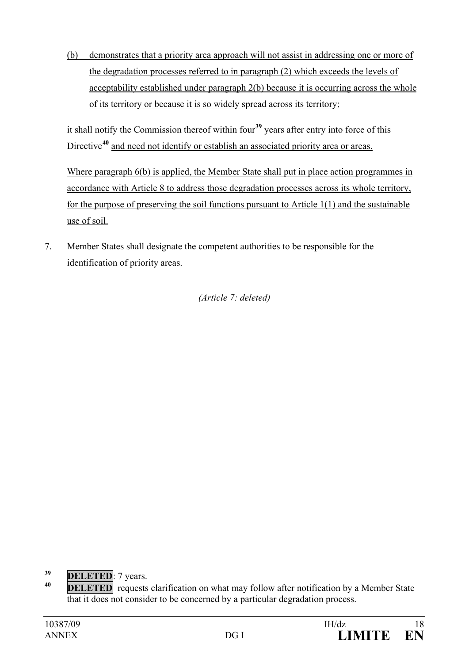(b) demonstrates that a priority area approach will not assist in addressing one or more of the degradation processes referred to in paragraph (2) which exceeds the levels of acceptability established under paragraph 2(b) because it is occurring across the whole of its territory or because it is so widely spread across its territory;

it shall notify the Commission thereof within four**[39](#page-17-0)** years after entry into force of this Directive<sup>[40](#page-17-1)</sup> and need not identify or establish an associated priority area or areas.

Where paragraph 6(b) is applied, the Member State shall put in place action programmes in accordance with Article 8 to address those degradation processes across its whole territory, for the purpose of preserving the soil functions pursuant to Article 1(1) and the sustainable use of soil.

7. Member States shall designate the competent authorities to be responsible for the identification of priority areas.

*(Article 7: deleted)*

<span id="page-17-0"></span><sup>&</sup>lt;sup>39</sup> **DELETED**: 7 years.

<span id="page-17-1"></span>**DELETED** requests clarification on what may follow after notification by a Member State that it does not consider to be concerned by a particular degradation process.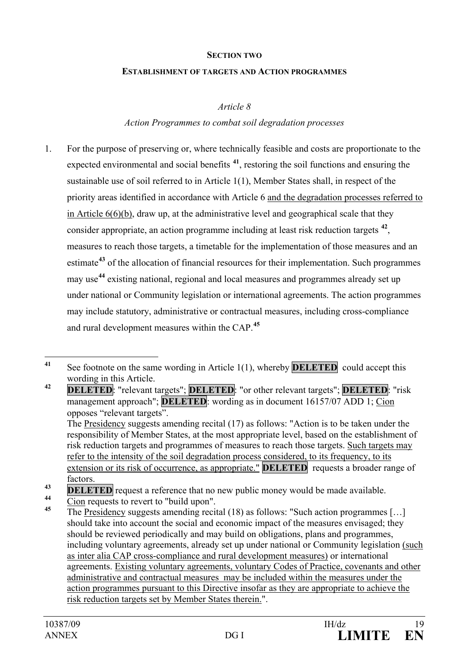#### **SECTION TWO**

#### **ESTABLISHMENT OF TARGETS AND ACTION PROGRAMMES**

*Article 8*

### *Action Programmes to combat soil degradation processes*

1. For the purpose of preserving or, where technically feasible and costs are proportionate to the expected environmental and social benefits **[41](#page-18-0)**, restoring the soil functions and ensuring the sustainable use of soil referred to in Article 1(1), Member States shall, in respect of the priority areas identified in accordance with Article 6 and the degradation processes referred to in Article 6(6)(b), draw up, at the administrative level and geographical scale that they consider appropriate, an action programme including at least risk reduction targets **[42](#page-18-1)**, measures to reach those targets, a timetable for the implementation of those measures and an estimate**[43](#page-18-2)** of the allocation of financial resources for their implementation. Such programmes may use**[44](#page-18-3)** existing national, regional and local measures and programmes already set up under national or Community legislation or international agreements. The action programmes may include statutory, administrative or contractual measures, including cross-compliance and rural development measures within the CAP.**[45](#page-18-4)**

<span id="page-18-1"></span>**<sup>42</sup> DELETED**: "relevant targets"; **DELETED**: "or other relevant targets"; **DELETED**: "risk management approach"; **DELETED**: wording as in document 16157/07 ADD 1; Cion opposes "relevant targets".

The Presidency suggests amending recital (17) as follows: "Action is to be taken under the responsibility of Member States, at the most appropriate level, based on the establishment of risk reduction targets and programmes of measures to reach those targets. Such targets may refer to the intensity of the soil degradation process considered, to its frequency, to its extension or its risk of occurrence, as appropriate." **DELETED** requests a broader range of factors.

<span id="page-18-3"></span>**<sup>44</sup>** Cion requests to revert to "build upon".

<span id="page-18-0"></span>**<sup>41</sup>** See footnote on the same wording in Article 1(1), whereby **DELETED** could accept this wording in this Article.

<span id="page-18-2"></span>**EXAMPLE 19 DELETED** request a reference that no new public money would be made available.

<span id="page-18-4"></span>**<sup>45</sup>** The Presidency suggests amending recital (18) as follows: "Such action programmes […] should take into account the social and economic impact of the measures envisaged; they should be reviewed periodically and may build on obligations, plans and programmes, including voluntary agreements, already set up under national or Community legislation (such as inter alia CAP cross-compliance and rural development measures) or international agreements. Existing voluntary agreements, voluntary Codes of Practice, covenants and other administrative and contractual measures may be included within the measures under the action programmes pursuant to this Directive insofar as they are appropriate to achieve the risk reduction targets set by Member States therein.".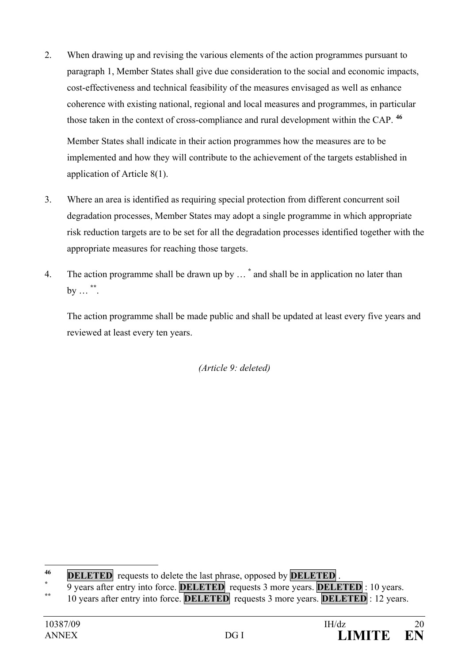- 2. When drawing up and revising the various elements of the action programmes pursuant to paragraph 1, Member States shall give due consideration to the social and economic impacts, cost-effectiveness and technical feasibility of the measures envisaged as well as enhance coherence with existing national, regional and local measures and programmes, in particular those taken in the context of cross-compliance and rural development within the CAP. **[46](#page-19-0)** Member States shall indicate in their action programmes how the measures are to be implemented and how they will contribute to the achievement of the targets established in application of Article 8(1).
- 3. Where an area is identified as requiring special protection from different concurrent soil degradation processes, Member States may adopt a single programme in which appropriate risk reduction targets are to be set for all the degradation processes identified together with the appropriate measures for reaching those targets.
- 4. The action programme shall be drawn up by … **[\\*](#page-19-1)** and shall be in application no later than by … **[\\*\\*](#page-19-2)**.

The action programme shall be made public and shall be updated at least every five years and reviewed at least every ten years.

*(Article 9: deleted)*

<span id="page-19-0"></span>**<sup>46</sup> DELETED** requests to delete the last phrase, opposed by **DELETED** .

**<sup>\*</sup>** 9 years after entry into force. **DELETED** requests 3 more years. **DELETED** : 10 years.

<span id="page-19-2"></span><span id="page-19-1"></span>**<sup>\*\*</sup>** 10 years after entry into force. **DELETED** requests 3 more years. **DELETED** : 12 years.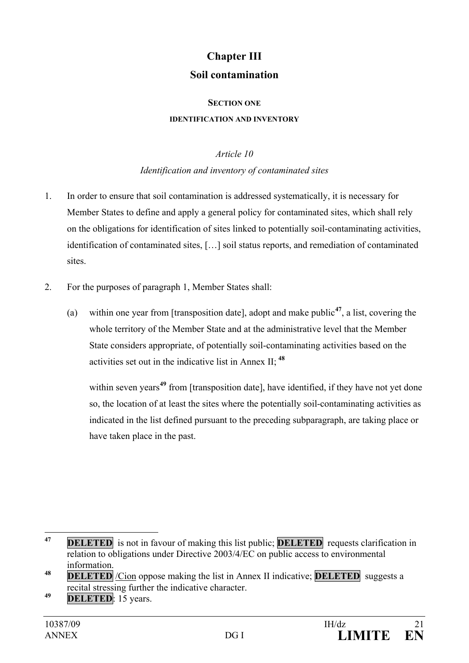# **Chapter III Soil contamination**

#### **SECTION ONE**

#### **IDENTIFICATION AND INVENTORY**

#### *Article 10*

### *Identification and inventory of contaminated sites*

- 1. In order to ensure that soil contamination is addressed systematically, it is necessary for Member States to define and apply a general policy for contaminated sites, which shall rely on the obligations for identification of sites linked to potentially soil-contaminating activities, identification of contaminated sites, […] soil status reports, and remediation of contaminated sites.
- 2. For the purposes of paragraph 1, Member States shall:
	- (a) within one year from [transposition date], adopt and make public**[47](#page-20-0)**, a list, covering the whole territory of the Member State and at the administrative level that the Member State considers appropriate, of potentially soil-contaminating activities based on the activities set out in the indicative list in Annex II; **[48](#page-20-1)**

within seven years<sup>[49](#page-20-2)</sup> from [transposition date], have identified, if they have not yet done so, the location of at least the sites where the potentially soil-contaminating activities as indicated in the list defined pursuant to the preceding subparagraph, are taking place or have taken place in the past.

<span id="page-20-0"></span>**<sup>47</sup> DELETED** is not in favour of making this list public; **DELETED** requests clarification in relation to obligations under Directive 2003/4/EC on public access to environmental information. **<sup>48</sup> DELETED** /Cion oppose making the list in Annex II indicative; **DELETED** suggests a

<span id="page-20-1"></span>recital stressing further the indicative character.

<span id="page-20-2"></span>**<sup>49</sup> DELETED**: 15 years.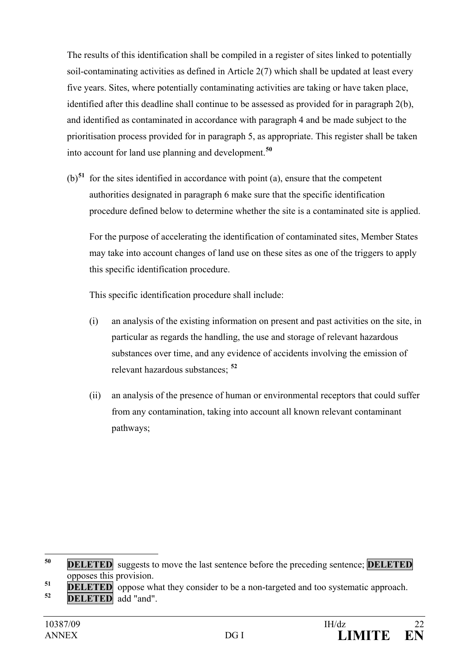The results of this identification shall be compiled in a register of sites linked to potentially soil-contaminating activities as defined in Article 2(7) which shall be updated at least every five years. Sites, where potentially contaminating activities are taking or have taken place, identified after this deadline shall continue to be assessed as provided for in paragraph 2(b), and identified as contaminated in accordance with paragraph 4 and be made subject to the prioritisation process provided for in paragraph 5, as appropriate. This register shall be taken into account for land use planning and development.**[50](#page-21-0)**

(b)**[51](#page-21-1)** for the sites identified in accordance with point (a), ensure that the competent authorities designated in paragraph 6 make sure that the specific identification procedure defined below to determine whether the site is a contaminated site is applied.

For the purpose of accelerating the identification of contaminated sites, Member States may take into account changes of land use on these sites as one of the triggers to apply this specific identification procedure.

This specific identification procedure shall include:

- (i) an analysis of the existing information on present and past activities on the site, in particular as regards the handling, the use and storage of relevant hazardous substances over time, and any evidence of accidents involving the emission of relevant hazardous substances; **[52](#page-21-2)**
- (ii) an analysis of the presence of human or environmental receptors that could suffer from any contamination, taking into account all known relevant contaminant pathways;

<span id="page-21-0"></span> **<sup>50</sup> DELETED** suggests to move the last sentence before the preceding sentence; **DELETED** opposes this provision.

<span id="page-21-2"></span><span id="page-21-1"></span>**<sup>51</sup> DELETED** oppose what they consider to be a non-targeted and too systematic approach.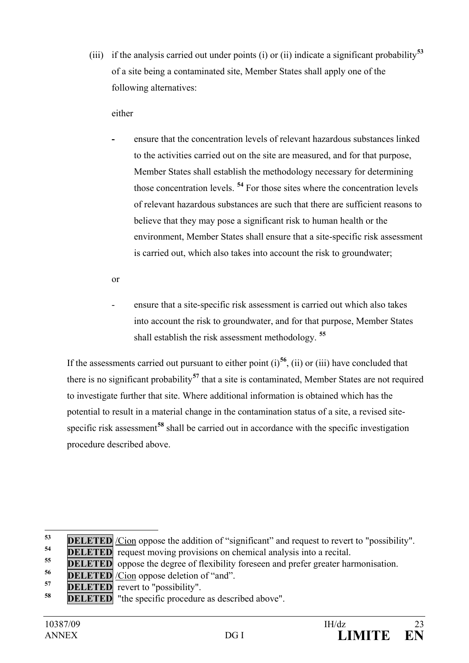(iii) if the analysis carried out under points (i) or (ii) indicate a significant probability**[53](#page-22-0)** of a site being a contaminated site, Member States shall apply one of the following alternatives:

### either

**-** ensure that the concentration levels of relevant hazardous substances linked to the activities carried out on the site are measured, and for that purpose, Member States shall establish the methodology necessary for determining those concentration levels. **[54](#page-22-1)** For those sites where the concentration levels of relevant hazardous substances are such that there are sufficient reasons to believe that they may pose a significant risk to human health or the environment, Member States shall ensure that a site-specific risk assessment is carried out, which also takes into account the risk to groundwater;

or

ensure that a site-specific risk assessment is carried out which also takes into account the risk to groundwater, and for that purpose, Member States shall establish the risk assessment methodology. **[55](#page-22-2)**

If the assessments carried out pursuant to either point  $(i)$ <sup>[56](#page-22-3)</sup>, (ii) or (iii) have concluded that there is no significant probability**[57](#page-22-4)** that a site is contaminated, Member States are not required to investigate further that site. Where additional information is obtained which has the potential to result in a material change in the contamination status of a site, a revised site-specific risk assessment<sup>[58](#page-22-5)</sup> shall be carried out in accordance with the specific investigation procedure described above.

<span id="page-22-0"></span>**<sup>&</sup>lt;u>DELETED** /Cion</u> oppose the addition of "significant" and request to revert to "possibility".

<span id="page-22-1"></span>**<sup>&</sup>lt;u>ELETED</u>** request moving provisions on chemical analysis into a recital.

<span id="page-22-2"></span>**<sup>55</sup> DELETED** oppose the degree of flexibility foreseen and prefer greater harmonisation.

<span id="page-22-3"></span><sup>&</sup>lt;sup>56</sup> **DELETED** <u>/Cion</u> oppose deletion of "and".

<span id="page-22-4"></span>**<sup>57</sup> DELETED** revert to "possibility".

<span id="page-22-5"></span>**DELETED** "the specific procedure as described above".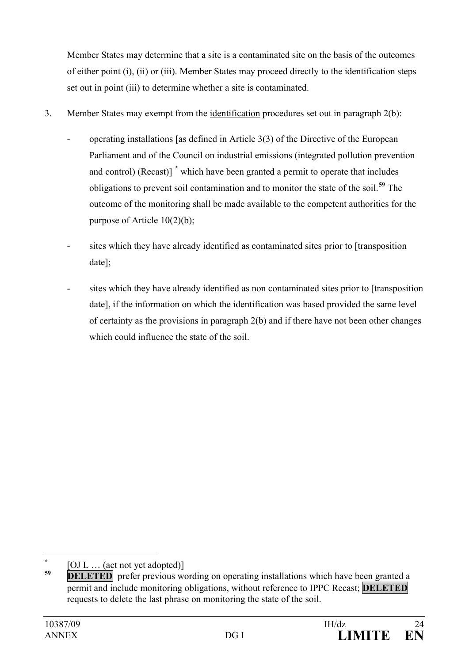Member States may determine that a site is a contaminated site on the basis of the outcomes of either point (i), (ii) or (iii). Member States may proceed directly to the identification steps set out in point (iii) to determine whether a site is contaminated.

- 3. Member States may exempt from the identification procedures set out in paragraph 2(b):
	- operating installations [as defined in Article 3(3) of the Directive of the European Parliament and of the Council on industrial emissions (integrated pollution prevention and control) (Recast)] **[\\*](#page-23-0)** which have been granted a permit to operate that includes obligations to prevent soil contamination and to monitor the state of the soil.**[59](#page-23-1)** The outcome of the monitoring shall be made available to the competent authorities for the purpose of Article 10(2)(b);
	- sites which they have already identified as contaminated sites prior to [transposition] date];
	- sites which they have already identified as non contaminated sites prior to [transposition] date], if the information on which the identification was based provided the same level of certainty as the provisions in paragraph 2(b) and if there have not been other changes which could influence the state of the soil.

<span id="page-23-0"></span>**\*** [OJ L … (act not yet adopted)]

<span id="page-23-1"></span>**<sup>&</sup>lt;u>DELETED</u>** prefer previous wording on operating installations which have been granted a permit and include monitoring obligations, without reference to IPPC Recast; **DELETED** requests to delete the last phrase on monitoring the state of the soil.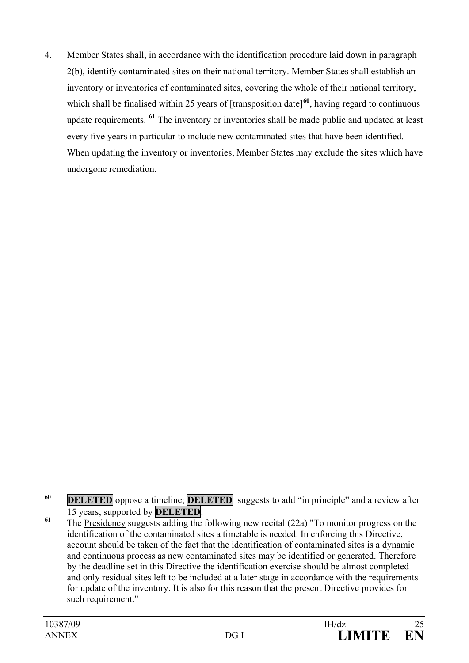4. Member States shall, in accordance with the identification procedure laid down in paragraph 2(b), identify contaminated sites on their national territory. Member States shall establish an inventory or inventories of contaminated sites, covering the whole of their national territory, which shall be finalised within 25 years of [transposition date]<sup>[60](#page-24-0)</sup>, having regard to continuous update requirements. **[61](#page-24-1)** The inventory or inventories shall be made public and updated at least every five years in particular to include new contaminated sites that have been identified. When updating the inventory or inventories, Member States may exclude the sites which have undergone remediation.

<span id="page-24-0"></span>**<sup>60</sup> DELETED** oppose a timeline; **DELETED** suggests to add "in principle" and a review after <sup>15</sup> years, supported by **DELETED**. **<sup>61</sup>** The Presidency suggests adding the following new recital (22a) "To monitor progress on the

<span id="page-24-1"></span>identification of the contaminated sites a timetable is needed. In enforcing this Directive, account should be taken of the fact that the identification of contaminated sites is a dynamic and continuous process as new contaminated sites may be identified or generated. Therefore by the deadline set in this Directive the identification exercise should be almost completed and only residual sites left to be included at a later stage in accordance with the requirements for update of the inventory. It is also for this reason that the present Directive provides for such requirement."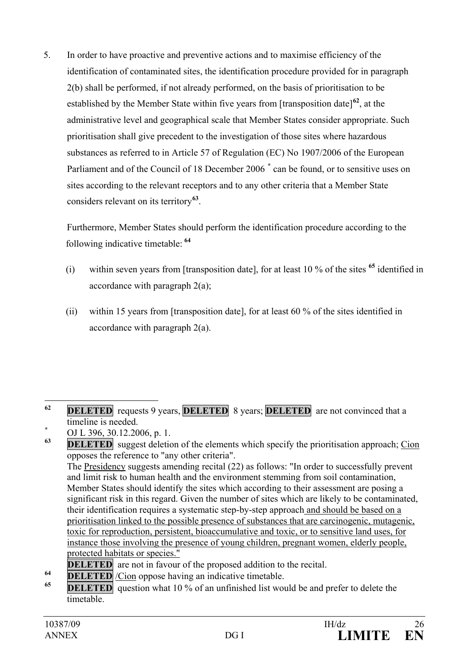5. In order to have proactive and preventive actions and to maximise efficiency of the identification of contaminated sites, the identification procedure provided for in paragraph 2(b) shall be performed, if not already performed, on the basis of prioritisation to be established by the Member State within five years from [transposition date]**[62](#page-25-0)**, at the administrative level and geographical scale that Member States consider appropriate. Such prioritisation shall give precedent to the investigation of those sites where hazardous substances as referred to in Article 57 of Regulation (EC) No 1907/2006 of the European Parliament and of the Council of 18 December 2006 **[\\*](#page-25-1)** can be found, or to sensitive uses on sites according to the relevant receptors and to any other criteria that a Member State considers relevant on its territory**[63](#page-25-2)**.

Furthermore, Member States should perform the identification procedure according to the following indicative timetable: **[64](#page-25-3)**

- (i) within seven years from [transposition date], for at least 10 % of the sites **[65](#page-25-4)** identified in accordance with paragraph 2(a);
- (ii) within 15 years from [transposition date], for at least 60 % of the sites identified in accordance with paragraph 2(a).

<span id="page-25-1"></span>timeline is needed.<br> **b** OJ L 396, 30.12.2006, p. 1.<br> **PLL ETEP** success delation

<span id="page-25-2"></span>**<u>DELETED</u>** suggest deletion of the elements which specify the prioritisation approach; Cion opposes the reference to "any other criteria". The Presidency suggests amending recital (22) as follows: "In order to successfully prevent and limit risk to human health and the environment stemming from soil contamination, Member States should identify the sites which according to their assessment are posing a significant risk in this regard. Given the number of sites which are likely to be contaminated, their identification requires a systematic step-by-step approach and should be based on a prioritisation linked to the possible presence of substances that are carcinogenic, mutagenic, toxic for reproduction, persistent, bioaccumulative and toxic, or to sensitive land uses, for instance those involving the presence of young children, pregnant women, elderly people, protected habitats or species."

- **DELETED** are not in favour of the proposed addition to the recital.
- <span id="page-25-3"></span>**64 DELETED** */Cion* oppose having an indicative timetable.
- <span id="page-25-4"></span>**<u><b>DELETED**</u> question what 10 % of an unfinished list would be and prefer to delete the timetable.

<span id="page-25-0"></span>**<sup>62</sup> DELETED** requests 9 years, **DELETED** 8 years; **DELETED** are not convinced that a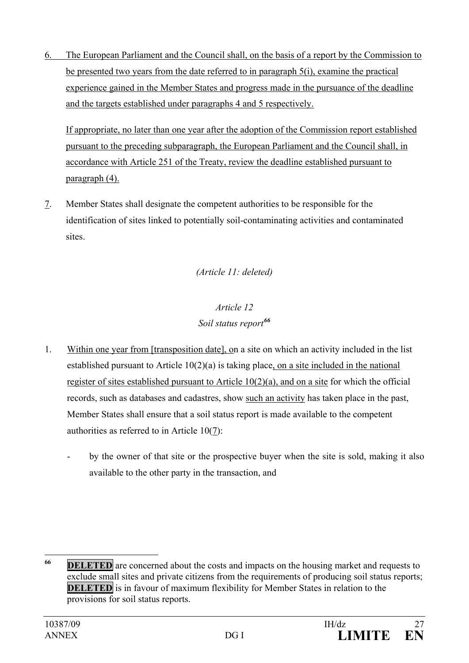6. The European Parliament and the Council shall, on the basis of a report by the Commission to be presented two years from the date referred to in paragraph 5(i), examine the practical experience gained in the Member States and progress made in the pursuance of the deadline and the targets established under paragraphs 4 and 5 respectively.

If appropriate, no later than one year after the adoption of the Commission report established pursuant to the preceding subparagraph, the European Parliament and the Council shall, in accordance with Article 251 of the Treaty, review the deadline established pursuant to paragraph (4).

7. Member States shall designate the competent authorities to be responsible for the identification of sites linked to potentially soil-contaminating activities and contaminated sites.

### *(Article 11: deleted)*

## *Article 12 Soil status report[66](#page-26-0)*

- 1. Within one year from [transposition date], on a site on which an activity included in the list established pursuant to Article 10(2)(a) is taking place, on a site included in the national register of sites established pursuant to Article  $10(2)(a)$ , and on a site for which the official records, such as databases and cadastres, show such an activity has taken place in the past, Member States shall ensure that a soil status report is made available to the competent authorities as referred to in Article 10(7):
	- by the owner of that site or the prospective buyer when the site is sold, making it also available to the other party in the transaction, and

<span id="page-26-0"></span>**<sup>&</sup>lt;u>IDELETED</u>** are concerned about the costs and impacts on the housing market and requests to exclude small sites and private citizens from the requirements of producing soil status reports; **DELETED** is in favour of maximum flexibility for Member States in relation to the provisions for soil status reports.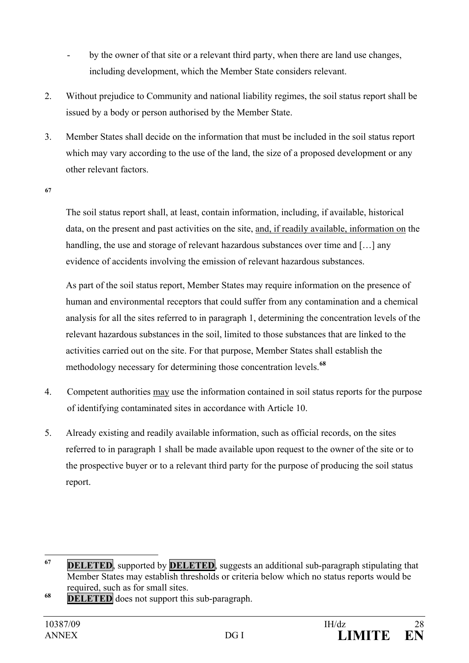- by the owner of that site or a relevant third party, when there are land use changes, including development, which the Member State considers relevant.
- 2. Without prejudice to Community and national liability regimes, the soil status report shall be issued by a body or person authorised by the Member State.
- 3. Member States shall decide on the information that must be included in the soil status report which may vary according to the use of the land, the size of a proposed development or any other relevant factors.
- **[67](#page-27-0)**

The soil status report shall, at least, contain information, including, if available, historical data, on the present and past activities on the site, and, if readily available, information on the handling, the use and storage of relevant hazardous substances over time and [...] any evidence of accidents involving the emission of relevant hazardous substances.

As part of the soil status report, Member States may require information on the presence of human and environmental receptors that could suffer from any contamination and a chemical analysis for all the sites referred to in paragraph 1, determining the concentration levels of the relevant hazardous substances in the soil, limited to those substances that are linked to the activities carried out on the site. For that purpose, Member States shall establish the methodology necessary for determining those concentration levels.**[68](#page-27-1)**

- 4. Competent authorities may use the information contained in soil status reports for the purpose of identifying contaminated sites in accordance with Article 10.
- 5. Already existing and readily available information, such as official records, on the sites referred to in paragraph 1 shall be made available upon request to the owner of the site or to the prospective buyer or to a relevant third party for the purpose of producing the soil status report.

<span id="page-27-1"></span>**<sup>68</sup> DELETED** does not support this sub-paragraph.

<span id="page-27-0"></span>**<sup>67</sup> DELETED**, supported by **DELETED**, suggests an additional sub-paragraph stipulating that Member States may establish thresholds or criteria below which no status reports would be required, such as for small sites.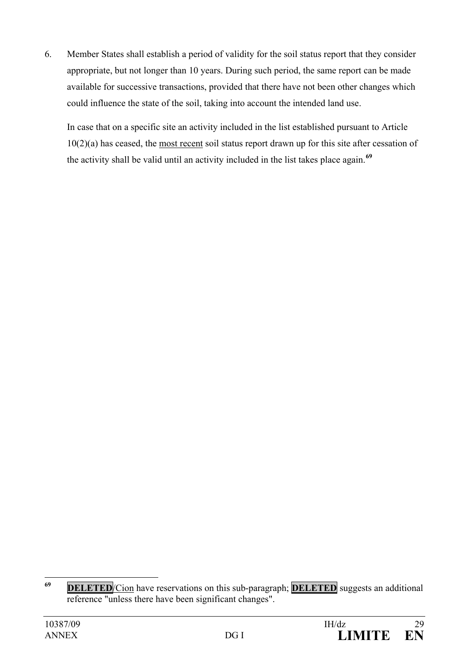6. Member States shall establish a period of validity for the soil status report that they consider appropriate, but not longer than 10 years. During such period, the same report can be made available for successive transactions, provided that there have not been other changes which could influence the state of the soil, taking into account the intended land use.

In case that on a specific site an activity included in the list established pursuant to Article 10(2)(a) has ceased, the most recent soil status report drawn up for this site after cessation of the activity shall be valid until an activity included in the list takes place again.**[69](#page-28-0)**

<span id="page-28-0"></span>**<sup>69</sup> DELETED**/Cion have reservations on this sub-paragraph; **DELETED** suggests an additional reference "unless there have been significant changes".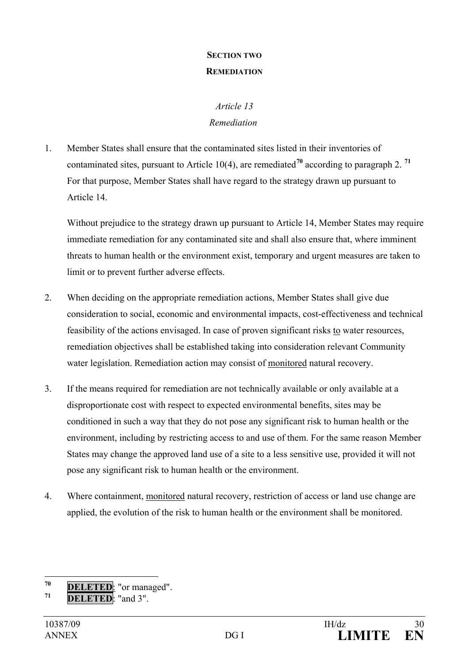### **SECTION TWO REMEDIATION**

### *Article 13 Remediation*

1. Member States shall ensure that the contaminated sites listed in their inventories of contaminated sites, pursuant to Article 10(4), are remediated**[70](#page-29-0)** according to paragraph 2. **[71](#page-29-1)** For that purpose, Member States shall have regard to the strategy drawn up pursuant to Article 14.

Without prejudice to the strategy drawn up pursuant to Article 14, Member States may require immediate remediation for any contaminated site and shall also ensure that, where imminent threats to human health or the environment exist, temporary and urgent measures are taken to limit or to prevent further adverse effects.

- 2. When deciding on the appropriate remediation actions, Member States shall give due consideration to social, economic and environmental impacts, cost-effectiveness and technical feasibility of the actions envisaged. In case of proven significant risks to water resources, remediation objectives shall be established taking into consideration relevant Community water legislation. Remediation action may consist of monitored natural recovery.
- 3. If the means required for remediation are not technically available or only available at a disproportionate cost with respect to expected environmental benefits, sites may be conditioned in such a way that they do not pose any significant risk to human health or the environment, including by restricting access to and use of them. For the same reason Member States may change the approved land use of a site to a less sensitive use, provided it will not pose any significant risk to human health or the environment.
- 4. Where containment, monitored natural recovery, restriction of access or land use change are applied, the evolution of the risk to human health or the environment shall be monitored.

<span id="page-29-0"></span>**<sup>70</sup> DELETED**: "or managed".

<span id="page-29-1"></span>**<sup>71</sup> DELETED**: "and 3".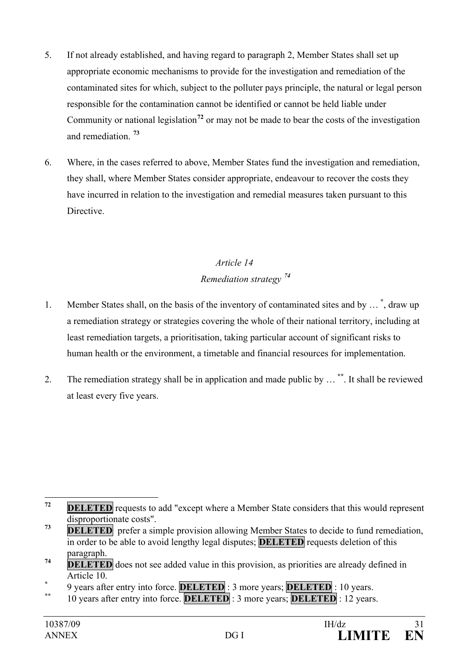- 5. If not already established, and having regard to paragraph 2, Member States shall set up appropriate economic mechanisms to provide for the investigation and remediation of the contaminated sites for which, subject to the polluter pays principle, the natural or legal person responsible for the contamination cannot be identified or cannot be held liable under Community or national legislation**[72](#page-30-0)** or may not be made to bear the costs of the investigation and remediation. **[73](#page-30-1)**
- 6. Where, in the cases referred to above, Member States fund the investigation and remediation, they shall, where Member States consider appropriate, endeavour to recover the costs they have incurred in relation to the investigation and remedial measures taken pursuant to this Directive.

# *Article 14 Remediation strategy [74](#page-30-2)*

- 1. Member States shall, on the basis of the inventory of contaminated sites and by … **[\\*](#page-30-3)** , draw up a remediation strategy or strategies covering the whole of their national territory, including at least remediation targets, a prioritisation, taking particular account of significant risks to human health or the environment, a timetable and financial resources for implementation.
- 2. The remediation strategy shall be in application and made public by … **[\\*\\*](#page-30-4)**. It shall be reviewed at least every five years.

**\*\*** 10 years after entry into force. **DELETED** : 3 more years; **DELETED** : 12 years.

<span id="page-30-0"></span>*DELETED* requests to add "except where a Member State considers that this would represent disproportionate costs".

<span id="page-30-1"></span>*PELETED* prefer a simple provision allowing Member States to decide to fund remediation, in order to be able to avoid lengthy legal disputes; **DELETED** requests deletion of this paragraph.

<span id="page-30-2"></span>**THE TED** does not see added value in this provision, as priorities are already defined in

<span id="page-30-4"></span><span id="page-30-3"></span>Article 10.<br>**9** years after entry into force. **DELETED** : 3 more years; **DELETED** : 10 years.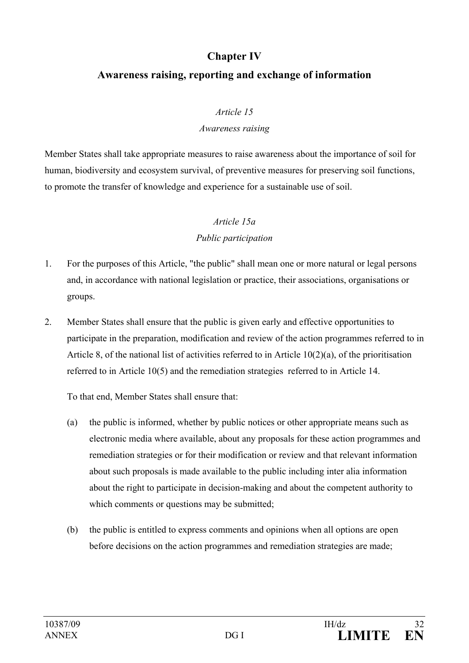### **Chapter IV**

### **Awareness raising, reporting and exchange of information**

### *Article 15*

### *Awareness raising*

Member States shall take appropriate measures to raise awareness about the importance of soil for human, biodiversity and ecosystem survival, of preventive measures for preserving soil functions, to promote the transfer of knowledge and experience for a sustainable use of soil.

# *Article 15a*

### *Public participation*

- 1. For the purposes of this Article, "the public" shall mean one or more natural or legal persons and, in accordance with national legislation or practice, their associations, organisations or groups.
- 2. Member States shall ensure that the public is given early and effective opportunities to participate in the preparation, modification and review of the action programmes referred to in Article 8, of the national list of activities referred to in Article 10(2)(a), of the prioritisation referred to in Article 10(5) and the remediation strategies referred to in Article 14.

To that end, Member States shall ensure that:

- (a) the public is informed, whether by public notices or other appropriate means such as electronic media where available, about any proposals for these action programmes and remediation strategies or for their modification or review and that relevant information about such proposals is made available to the public including inter alia information about the right to participate in decision-making and about the competent authority to which comments or questions may be submitted;
- (b) the public is entitled to express comments and opinions when all options are open before decisions on the action programmes and remediation strategies are made;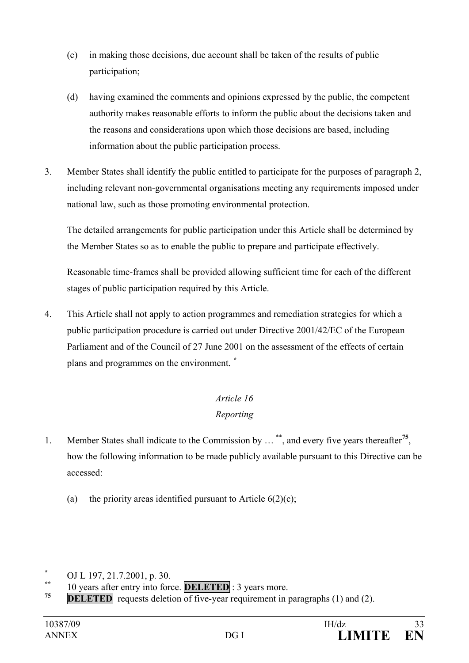- (c) in making those decisions, due account shall be taken of the results of public participation;
- (d) having examined the comments and opinions expressed by the public, the competent authority makes reasonable efforts to inform the public about the decisions taken and the reasons and considerations upon which those decisions are based, including information about the public participation process.
- 3. Member States shall identify the public entitled to participate for the purposes of paragraph 2, including relevant non-governmental organisations meeting any requirements imposed under national law, such as those promoting environmental protection.

The detailed arrangements for public participation under this Article shall be determined by the Member States so as to enable the public to prepare and participate effectively.

Reasonable time-frames shall be provided allowing sufficient time for each of the different stages of public participation required by this Article.

4. This Article shall not apply to action programmes and remediation strategies for which a public participation procedure is carried out under Directive 2001/42/EC of the European Parliament and of the Council of 27 June 2001 on the assessment of the effects of certain plans and programmes on the environment. **[\\*](#page-32-0)**

## *Article 16 Reporting*

- 1. Member States shall indicate to the Commission by … [\\*\\*](#page-32-1), and every five years thereafter**[75](#page-32-2)**, how the following information to be made publicly available pursuant to this Directive can be accessed:
	- (a) the priority areas identified pursuant to Article  $6(2)(c)$ ;

<span id="page-32-1"></span><span id="page-32-0"></span><sup>\*</sup> **OJ L 197, 21.7.2001, p. 30. \*** 10 years after entry into force. **DELETED** : 3 years more.

<span id="page-32-2"></span>**DELETED** requests deletion of five-year requirement in paragraphs (1) and (2).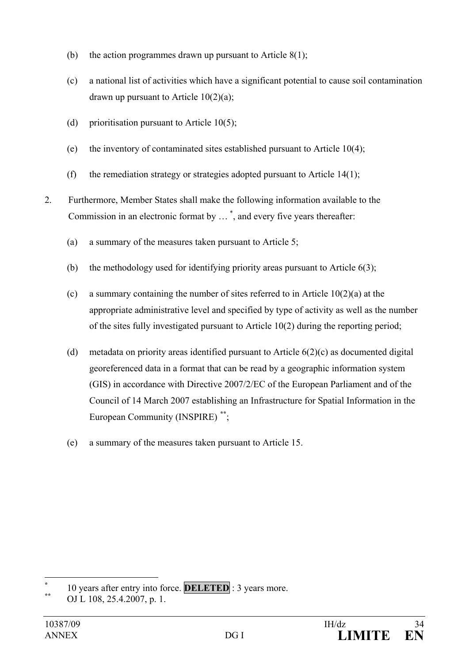- (b) the action programmes drawn up pursuant to Article  $8(1)$ ;
- (c) a national list of activities which have a significant potential to cause soil contamination drawn up pursuant to Article  $10(2)(a)$ ;
- (d) prioritisation pursuant to Article  $10(5)$ ;
- (e) the inventory of contaminated sites established pursuant to Article 10(4);
- (f) the remediation strategy or strategies adopted pursuant to Article  $14(1)$ ;
- 2. Furthermore, Member States shall make the following information available to the Commission in an electronic format by … [\\*](#page-33-0) , and every five years thereafter:
	- (a) a summary of the measures taken pursuant to Article 5;
	- (b) the methodology used for identifying priority areas pursuant to Article 6(3);
	- (c) a summary containing the number of sites referred to in Article 10(2)(a) at the appropriate administrative level and specified by type of activity as well as the number of the sites fully investigated pursuant to Article 10(2) during the reporting period;
	- (d) metadata on priority areas identified pursuant to Article 6(2)(c) as documented digital georeferenced data in a format that can be read by a geographic information system (GIS) in accordance with Directive 2007/2/EC of the European Parliament and of the Council of 14 March 2007 establishing an Infrastructure for Spatial Information in the European Community (INSPIRE) **[\\*\\*](#page-33-1)**;
	- (e) a summary of the measures taken pursuant to Article 15.

<span id="page-33-0"></span><sup>\* 10</sup> years after entry into force. **DELETED** : 3 years more.<br> **OJ** L 108, 25.4.2007, p. 1.

<span id="page-33-1"></span>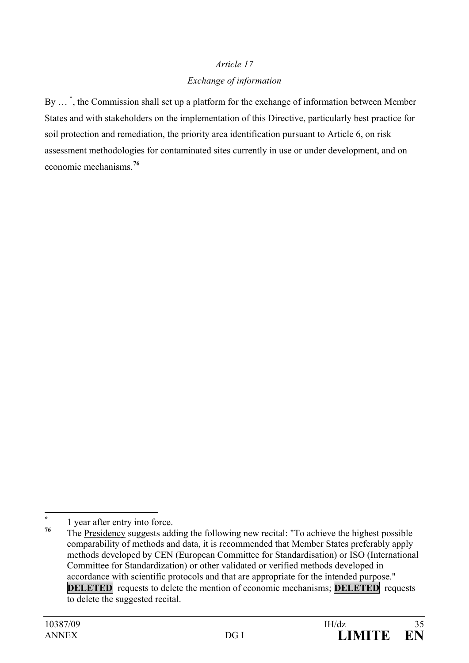# *Article 17 Exchange of information*

By ...<sup>[\\*](#page-34-0)</sup>, the Commission shall set up a platform for the exchange of information between Member States and with stakeholders on the implementation of this Directive, particularly best practice for soil protection and remediation, the priority area identification pursuant to Article 6, on risk assessment methodologies for contaminated sites currently in use or under development, and on economic mechanisms.**[76](#page-34-1)**

<span id="page-34-0"></span> $\frac{1}{76}$  1 year after entry into force.

<span id="page-34-1"></span>**<sup>76</sup>** The Presidency suggests adding the following new recital: "To achieve the highest possible comparability of methods and data, it is recommended that Member States preferably apply methods developed by CEN (European Committee for Standardisation) or ISO (International Committee for Standardization) or other validated or verified methods developed in accordance with scientific protocols and that are appropriate for the intended purpose." **DELETED** requests to delete the mention of economic mechanisms; **DELETED** requests to delete the suggested recital.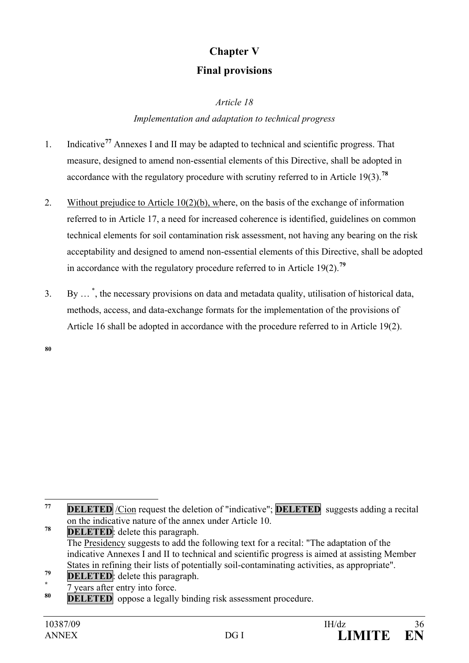# **Chapter V Final provisions**

*Article 18*

### *Implementation and adaptation to technical progress*

- 1. Indicative**[77](#page-35-0)** Annexes I and II may be adapted to technical and scientific progress. That measure, designed to amend non-essential elements of this Directive, shall be adopted in accordance with the regulatory procedure with scrutiny referred to in Article 19(3).**[78](#page-35-1)**
- 2. Without prejudice to Article 10(2)(b), where, on the basis of the exchange of information referred to in Article 17, a need for increased coherence is identified, guidelines on common technical elements for soil contamination risk assessment, not having any bearing on the risk acceptability and designed to amend non-essential elements of this Directive, shall be adopted in accordance with the regulatory procedure referred to in Article 19(2).**[79](#page-35-2)**
- 3. By … [\\*](#page-35-3) , the necessary provisions on data and metadata quality, utilisation of historical data, methods, access, and data-exchange formats for the implementation of the provisions of Article 16 shall be adopted in accordance with the procedure referred to in Article 19(2).

**[80](#page-35-4)**

- <span id="page-35-2"></span><sup>79</sup> **DELETED**: delete this paragraph.<br>
<sup>\*</sup> 7 years after entry into force.
- <span id="page-35-3"></span>

<span id="page-35-0"></span>**<sup>77</sup> DELETED** /Cion request the deletion of "indicative"; **DELETED** suggests adding a recital on the indicative nature of the annex under Article 10.

<span id="page-35-1"></span>**<sup>78</sup> DELETED**: delete this paragraph. The Presidency suggests to add the following text for a recital: "The adaptation of the indicative Annexes I and II to technical and scientific progress is aimed at assisting Member States in refining their lists of potentially soil-contaminating activities, as appropriate".

<span id="page-35-4"></span>**DELETED** oppose a legally binding risk assessment procedure.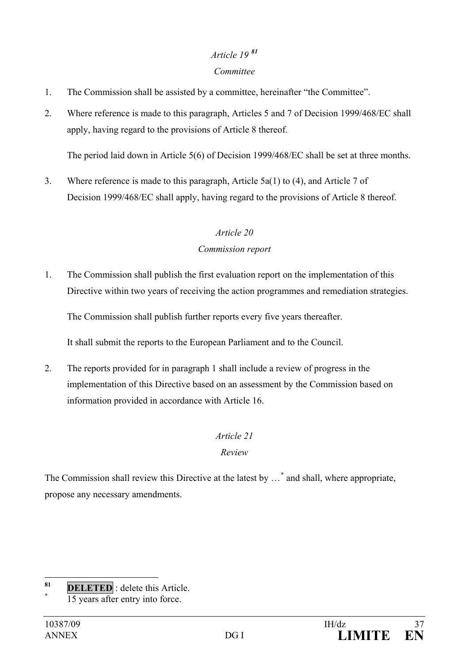# *Article 19 [81](#page-36-0)*

### *Committee*

- 1. The Commission shall be assisted by a committee, hereinafter "the Committee".
- 2. Where reference is made to this paragraph, Articles 5 and 7 of Decision 1999/468/EC shall apply, having regard to the provisions of Article 8 thereof.

The period laid down in Article 5(6) of Decision 1999/468/EC shall be set at three months.

3. Where reference is made to this paragraph, Article 5a(1) to (4), and Article 7 of Decision 1999/468/EC shall apply, having regard to the provisions of Article 8 thereof.

# *Article 20*

### *Commission report*

1. The Commission shall publish the first evaluation report on the implementation of this Directive within two years of receiving the action programmes and remediation strategies.

The Commission shall publish further reports every five years thereafter.

It shall submit the reports to the European Parliament and to the Council.

2. The reports provided for in paragraph 1 shall include a review of progress in the implementation of this Directive based on an assessment by the Commission based on information provided in accordance with Article 16.

### *Article 21*

### *Review*

The Commission shall review this Directive at the latest by …**[\\*](#page-36-1)** and shall, where appropriate, propose any necessary amendments.

<span id="page-36-1"></span><span id="page-36-0"></span>**<sup>81</sup> DELETED** : delete this Article. **\*** 15 years after entry into force.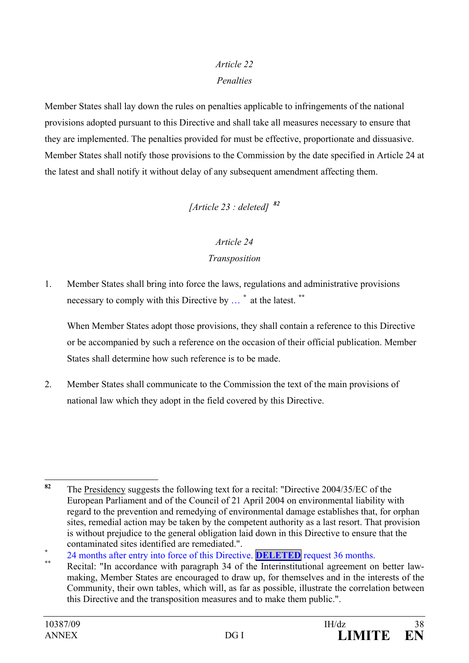## *Article 22*

### *Penalties*

Member States shall lay down the rules on penalties applicable to infringements of the national provisions adopted pursuant to this Directive and shall take all measures necessary to ensure that they are implemented. The penalties provided for must be effective, proportionate and dissuasive. Member States shall notify those provisions to the Commission by the date specified in Article 24 at the latest and shall notify it without delay of any subsequent amendment affecting them.

*[Article 23 : deleted] [82](#page-37-0)*

### *Article 24*

### *Transposition*

1. Member States shall bring into force the laws, regulations and administrative provisions necessary to comply with this Directive by … **[\\*](#page-37-1)** at the latest. **[\\*\\*](#page-37-2)**

When Member States adopt those provisions, they shall contain a reference to this Directive or be accompanied by such a reference on the occasion of their official publication. Member States shall determine how such reference is to be made.

2. Member States shall communicate to the Commission the text of the main provisions of national law which they adopt in the field covered by this Directive.

<span id="page-37-0"></span>**<sup>82</sup>** The Presidency suggests the following text for a recital: "Directive 2004/35/EC of the European Parliament and of the Council of 21 April 2004 on environmental liability with regard to the prevention and remedying of environmental damage establishes that, for orphan sites, remedial action may be taken by the competent authority as a last resort. That provision is without prejudice to the general obligation laid down in this Directive to ensure that the

<span id="page-37-1"></span>contaminated sites identified are remediated.".<br>
<sup>24</sup> months after entry into force of this Directive. **DELETED** request 36 months.<br>
<sup>\*\*</sup> Recital: "In accordance with paragraph 34 of the Interinstitutional agreement on bet

<span id="page-37-2"></span>making, Member States are encouraged to draw up, for themselves and in the interests of the Community, their own tables, which will, as far as possible, illustrate the correlation between this Directive and the transposition measures and to make them public.".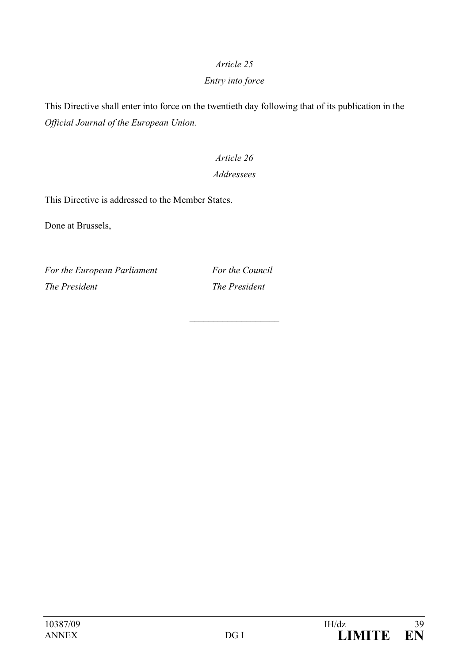# *Article 25*

### *Entry into force*

This Directive shall enter into force on the twentieth day following that of its publication in the *Official Journal of the European Union.*

# *Article 26 Addressees*

This Directive is addressed to the Member States.

Done at Brussels,

*For the European Parliament For the Council The President The President*

 $\mathcal{L}$  , we have the set of the set of the set of the set of the set of the set of the set of the set of the set of the set of the set of the set of the set of the set of the set of the set of the set of the set of the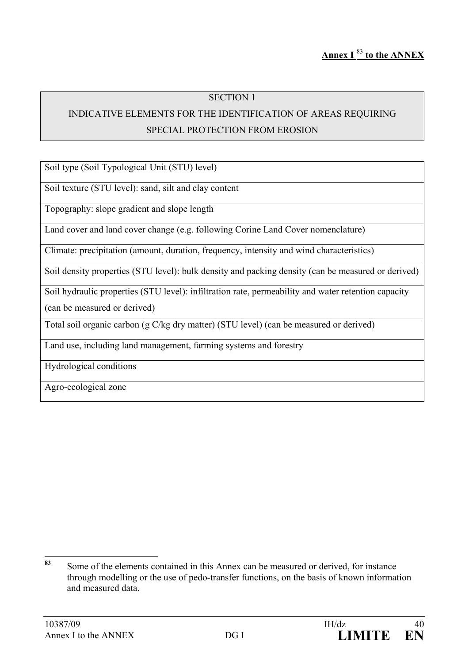### INDICATIVE ELEMENTS FOR THE IDENTIFICATION OF AREAS REQUIRING SPECIAL PROTECTION FROM EROSION

Soil type (Soil Typological Unit (STU) level)

Soil texture (STU level): sand, silt and clay content

Topography: slope gradient and slope length

Land cover and land cover change (e.g. following Corine Land Cover nomenclature)

Climate: precipitation (amount, duration, frequency, intensity and wind characteristics)

Soil density properties (STU level): bulk density and packing density (can be measured or derived)

Soil hydraulic properties (STU level): infiltration rate, permeability and water retention capacity

(can be measured or derived)

Total soil organic carbon (g C/kg dry matter) (STU level) (can be measured or derived)

Land use, including land management, farming systems and forestry

Hydrological conditions

Agro-ecological zone

<span id="page-39-0"></span>**<sup>83</sup>** Some of the elements contained in this Annex can be measured or derived, for instance through modelling or the use of pedo-transfer functions, on the basis of known information and measured data.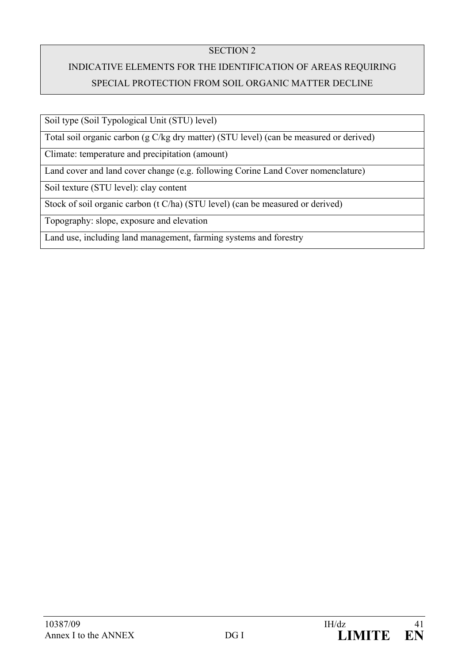# INDICATIVE ELEMENTS FOR THE IDENTIFICATION OF AREAS REQUIRING SPECIAL PROTECTION FROM SOIL ORGANIC MATTER DECLINE

Soil type (Soil Typological Unit (STU) level)

Total soil organic carbon (g C/kg dry matter) (STU level) (can be measured or derived)

Climate: temperature and precipitation (amount)

Land cover and land cover change (e.g. following Corine Land Cover nomenclature)

Soil texture (STU level): clay content

Stock of soil organic carbon (t C/ha) (STU level) (can be measured or derived)

Topography: slope, exposure and elevation

Land use, including land management, farming systems and forestry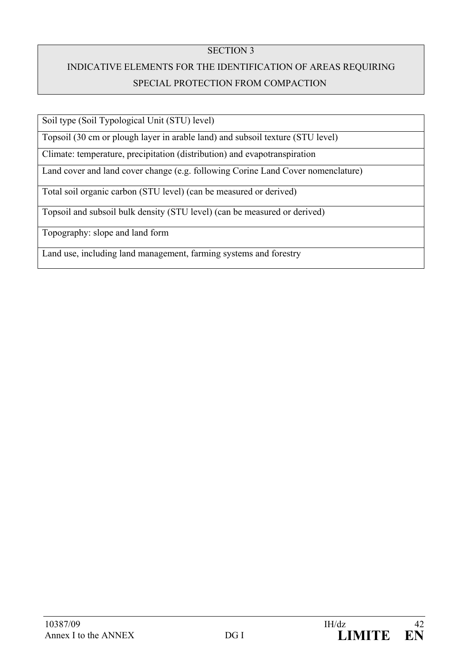# INDICATIVE ELEMENTS FOR THE IDENTIFICATION OF AREAS REQUIRING SPECIAL PROTECTION FROM COMPACTION

Soil type (Soil Typological Unit (STU) level)

Topsoil (30 cm or plough layer in arable land) and subsoil texture (STU level)

Climate: temperature, precipitation (distribution) and evapotranspiration

Land cover and land cover change (e.g. following Corine Land Cover nomenclature)

Total soil organic carbon (STU level) (can be measured or derived)

Topsoil and subsoil bulk density (STU level) (can be measured or derived)

Topography: slope and land form

Land use, including land management, farming systems and forestry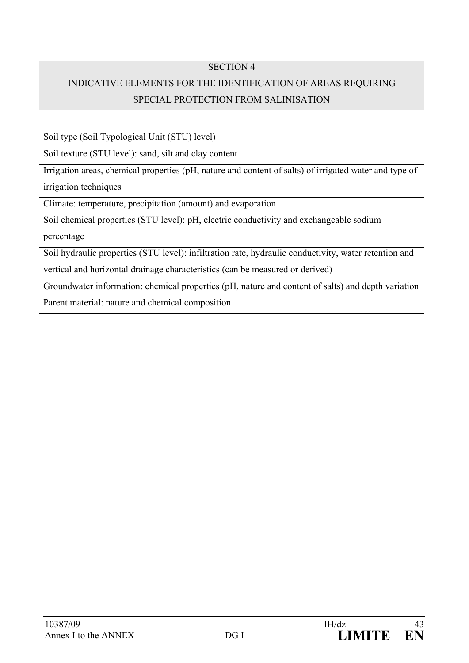## INDICATIVE ELEMENTS FOR THE IDENTIFICATION OF AREAS REQUIRING SPECIAL PROTECTION FROM SALINISATION

Soil type (Soil Typological Unit (STU) level)

Soil texture (STU level): sand, silt and clay content

Irrigation areas, chemical properties (pH, nature and content of salts) of irrigated water and type of irrigation techniques

Climate: temperature, precipitation (amount) and evaporation

Soil chemical properties (STU level): pH, electric conductivity and exchangeable sodium

percentage

Soil hydraulic properties (STU level): infiltration rate, hydraulic conductivity, water retention and

vertical and horizontal drainage characteristics (can be measured or derived)

Groundwater information: chemical properties (pH, nature and content of salts) and depth variation

Parent material: nature and chemical composition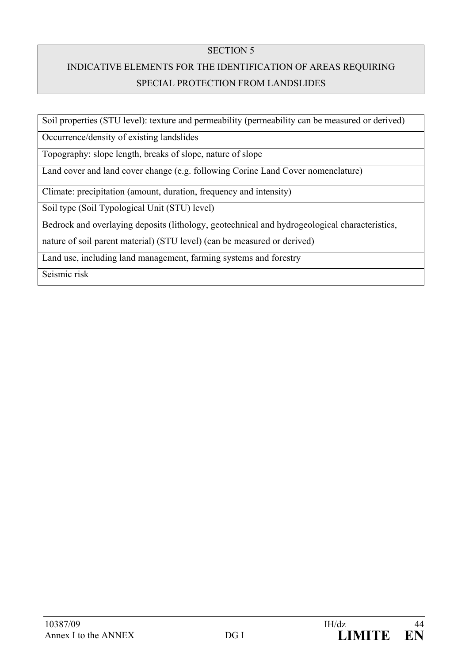# INDICATIVE ELEMENTS FOR THE IDENTIFICATION OF AREAS REQUIRING SPECIAL PROTECTION FROM LANDSLIDES

Soil properties (STU level): texture and permeability (permeability can be measured or derived)

Occurrence/density of existing landslides

Topography: slope length, breaks of slope, nature of slope

Land cover and land cover change (e.g. following Corine Land Cover nomenclature)

Climate: precipitation (amount, duration, frequency and intensity)

Soil type (Soil Typological Unit (STU) level)

Bedrock and overlaying deposits (lithology, geotechnical and hydrogeological characteristics,

nature of soil parent material) (STU level) (can be measured or derived)

Land use, including land management, farming systems and forestry

Seismic risk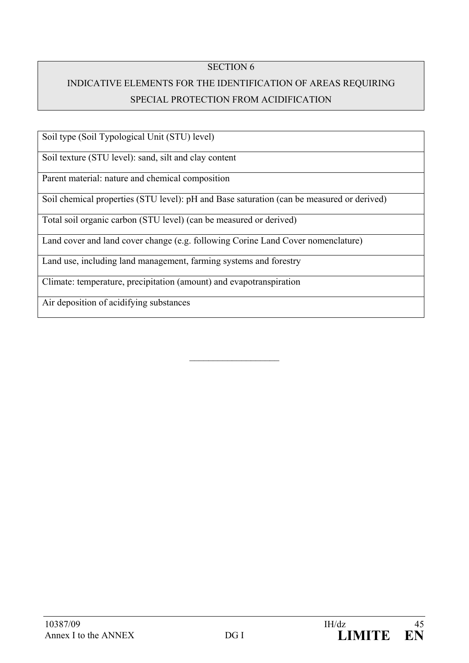## INDICATIVE ELEMENTS FOR THE IDENTIFICATION OF AREAS REQUIRING SPECIAL PROTECTION FROM ACIDIFICATION

Soil type (Soil Typological Unit (STU) level)

Soil texture (STU level): sand, silt and clay content

Parent material: nature and chemical composition

Soil chemical properties (STU level): pH and Base saturation (can be measured or derived)

 $\mathcal{L}$  , we have the set of the set of the set of the set of the set of the set of the set of the set of the set of the set of the set of the set of the set of the set of the set of the set of the set of the set of the

Total soil organic carbon (STU level) (can be measured or derived)

Land cover and land cover change (e.g. following Corine Land Cover nomenclature)

Land use, including land management, farming systems and forestry

Climate: temperature, precipitation (amount) and evapotranspiration

Air deposition of acidifying substances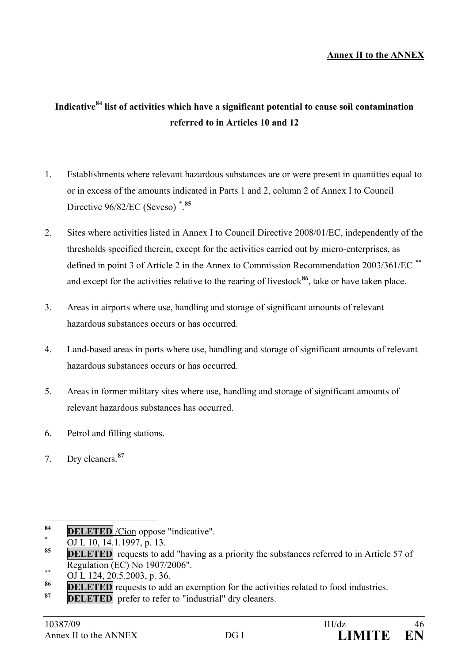### **Annex II to the ANNEX**

# **Indicative[84](#page-45-0) list of activities which have a significant potential to cause soil contamination referred to in Articles 10 and 12**

- 1. Establishments where relevant hazardous substances are or were present in quantities equal to or in excess of the amounts indicated in Parts 1 and 2, column 2 of Annex I to Council Directive 96/82/EC (Seveso) **[\\*](#page-45-1)** . **[85](#page-45-2)**
- 2. Sites where activities listed in Annex I to Council Directive 2008/01/EC, independently of the thresholds specified therein, except for the activities carried out by micro-enterprises, as defined in point 3 of Article 2 in the Annex to Commission Recommendation 2003/361/EC **[\\*\\*](#page-45-3)** and except for the activities relative to the rearing of livestock<sup>[86](#page-45-4)</sup>, take or have taken place.
- 3. Areas in airports where use, handling and storage of significant amounts of relevant hazardous substances occurs or has occurred.
- 4. Land-based areas in ports where use, handling and storage of significant amounts of relevant hazardous substances occurs or has occurred.
- 5. Areas in former military sites where use, handling and storage of significant amounts of relevant hazardous substances has occurred.
- 6. Petrol and filling stations.
- 7. Dry cleaners.**[87](#page-45-5)**

- <span id="page-45-3"></span>Regulation (EC) No 1907/2006".<br>
<u><sup>\*\*</sup> OJ L 124, 20.5.2003</u>, p. 36.
- <span id="page-45-4"></span>**86 DELETED** requests to add an exemption for the activities related to food industries.
- <span id="page-45-5"></span>**DELETED** prefer to refer to "industrial" dry cleaners.

<span id="page-45-0"></span>**<sup>84</sup> DELETED** /Cion oppose "indicative".<br> **85 DELETED** / Cion oppose "indicative".

<span id="page-45-1"></span>

<span id="page-45-2"></span>**DELETED** requests to add "having as a priority the substances referred to in Article 57 of